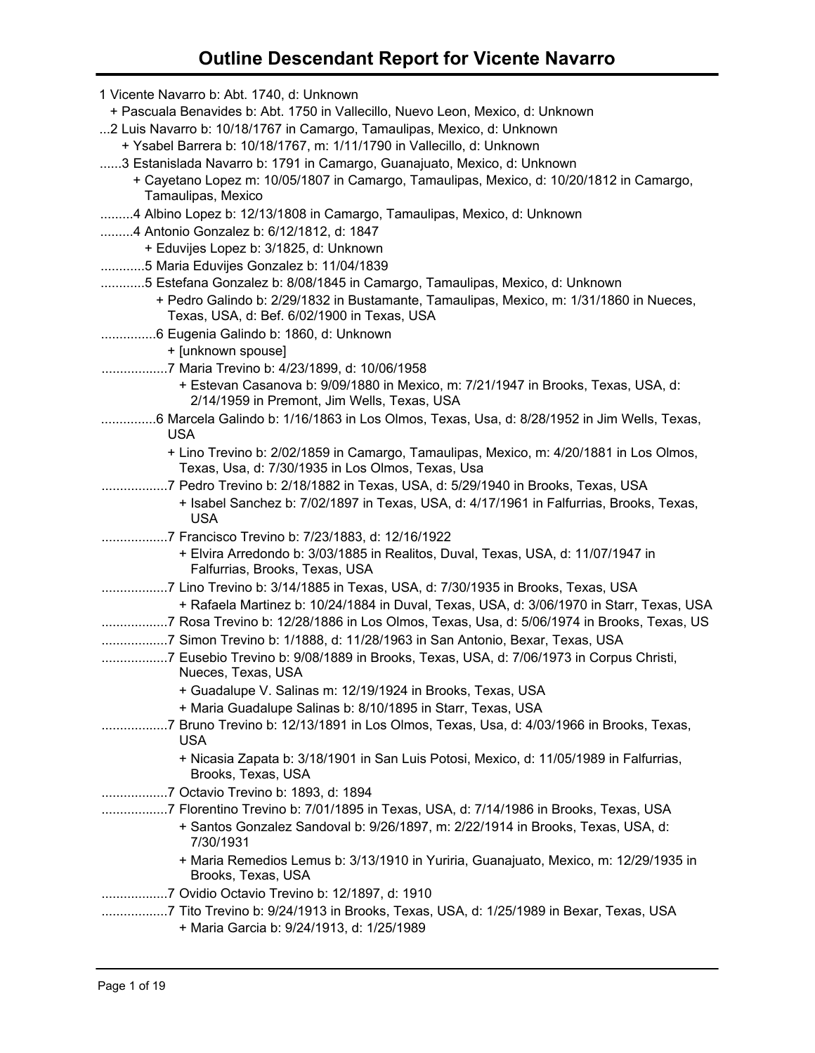| 1 Vicente Navarro b: Abt. 1740, d: Unknown                                                                                       |                                                                                          |
|----------------------------------------------------------------------------------------------------------------------------------|------------------------------------------------------------------------------------------|
| + Pascuala Benavides b: Abt. 1750 in Vallecillo, Nuevo Leon, Mexico, d: Unknown                                                  |                                                                                          |
| 2 Luis Navarro b: 10/18/1767 in Camargo, Tamaulipas, Mexico, d: Unknown                                                          |                                                                                          |
| + Ysabel Barrera b: 10/18/1767, m: 1/11/1790 in Vallecillo, d: Unknown                                                           |                                                                                          |
| 3 Estanislada Navarro b: 1791 in Camargo, Guanajuato, Mexico, d: Unknown                                                         |                                                                                          |
| + Cayetano Lopez m: 10/05/1807 in Camargo, Tamaulipas, Mexico, d: 10/20/1812 in Camargo,                                         |                                                                                          |
| Tamaulipas, Mexico                                                                                                               |                                                                                          |
| 4 Albino Lopez b: 12/13/1808 in Camargo, Tamaulipas, Mexico, d: Unknown                                                          |                                                                                          |
| 4 Antonio Gonzalez b: 6/12/1812, d: 1847                                                                                         |                                                                                          |
| + Eduvijes Lopez b: 3/1825, d: Unknown                                                                                           |                                                                                          |
| 5 Maria Eduvijes Gonzalez b: 11/04/1839                                                                                          |                                                                                          |
| 5 Estefana Gonzalez b: 8/08/1845 in Camargo, Tamaulipas, Mexico, d: Unknown                                                      |                                                                                          |
| + Pedro Galindo b: 2/29/1832 in Bustamante, Tamaulipas, Mexico, m: 1/31/1860 in Nueces,                                          |                                                                                          |
| Texas, USA, d: Bef. 6/02/1900 in Texas, USA                                                                                      |                                                                                          |
|                                                                                                                                  |                                                                                          |
| + [unknown spouse]                                                                                                               |                                                                                          |
| 7 Maria Trevino b: 4/23/1899, d: 10/06/1958                                                                                      |                                                                                          |
| + Estevan Casanova b: 9/09/1880 in Mexico, m: 7/21/1947 in Brooks, Texas, USA, d:<br>2/14/1959 in Premont, Jim Wells, Texas, USA |                                                                                          |
| 6 Marcela Galindo b: 1/16/1863 in Los Olmos, Texas, Usa, d: 8/28/1952 in Jim Wells, Texas,<br><b>USA</b>                         |                                                                                          |
|                                                                                                                                  | + Lino Trevino b: 2/02/1859 in Camargo, Tamaulipas, Mexico, m: 4/20/1881 in Los Olmos,   |
| Texas, Usa, d: 7/30/1935 in Los Olmos, Texas, Usa                                                                                |                                                                                          |
| 7 Pedro Trevino b: 2/18/1882 in Texas, USA, d: 5/29/1940 in Brooks, Texas, USA                                                   |                                                                                          |
| <b>USA</b>                                                                                                                       | + Isabel Sanchez b: 7/02/1897 in Texas, USA, d: 4/17/1961 in Falfurrias, Brooks, Texas,  |
| 7 Francisco Trevino b: 7/23/1883, d: 12/16/1922                                                                                  |                                                                                          |
| + Elvira Arredondo b: 3/03/1885 in Realitos, Duval, Texas, USA, d: 11/07/1947 in<br>Falfurrias, Brooks, Texas, USA               |                                                                                          |
| 7 Lino Trevino b: 3/14/1885 in Texas, USA, d: 7/30/1935 in Brooks, Texas, USA                                                    |                                                                                          |
|                                                                                                                                  | + Rafaela Martinez b: 10/24/1884 in Duval, Texas, USA, d: 3/06/1970 in Starr, Texas, USA |
| 7 Rosa Trevino b: 12/28/1886 in Los Olmos, Texas, Usa, d: 5/06/1974 in Brooks, Texas, US                                         |                                                                                          |
| 7 Simon Trevino b: 1/1888, d: 11/28/1963 in San Antonio, Bexar, Texas, USA                                                       |                                                                                          |
| 7 Eusebio Trevino b: 9/08/1889 in Brooks, Texas, USA, d: 7/06/1973 in Corpus Christi,                                            |                                                                                          |
| Nueces, Texas, USA                                                                                                               |                                                                                          |
| + Guadalupe V. Salinas m: 12/19/1924 in Brooks, Texas, USA                                                                       |                                                                                          |
| + Maria Guadalupe Salinas b: 8/10/1895 in Starr, Texas, USA                                                                      |                                                                                          |
| 7 Bruno Trevino b: 12/13/1891 in Los Olmos, Texas, Usa, d: 4/03/1966 in Brooks, Texas,<br><b>USA</b>                             |                                                                                          |
| + Nicasia Zapata b: 3/18/1901 in San Luis Potosi, Mexico, d: 11/05/1989 in Falfurrias,<br>Brooks, Texas, USA                     |                                                                                          |
| 7 Octavio Trevino b: 1893, d: 1894                                                                                               |                                                                                          |
| ………………7 Florentino Trevino b: 7/01/1895 in Texas, USA, d: 7/14/1986 in Brooks, Texas, USA                                        |                                                                                          |
| + Santos Gonzalez Sandoval b: 9/26/1897, m: 2/22/1914 in Brooks, Texas, USA, d:<br>7/30/1931                                     |                                                                                          |
| Brooks, Texas, USA                                                                                                               | + Maria Remedios Lemus b: 3/13/1910 in Yuriria, Guanajuato, Mexico, m: 12/29/1935 in     |
|                                                                                                                                  |                                                                                          |
| 7 Tito Trevino b: 9/24/1913 in Brooks, Texas, USA, d: 1/25/1989 in Bexar, Texas, USA                                             |                                                                                          |
| + Maria Garcia b: 9/24/1913, d: 1/25/1989                                                                                        |                                                                                          |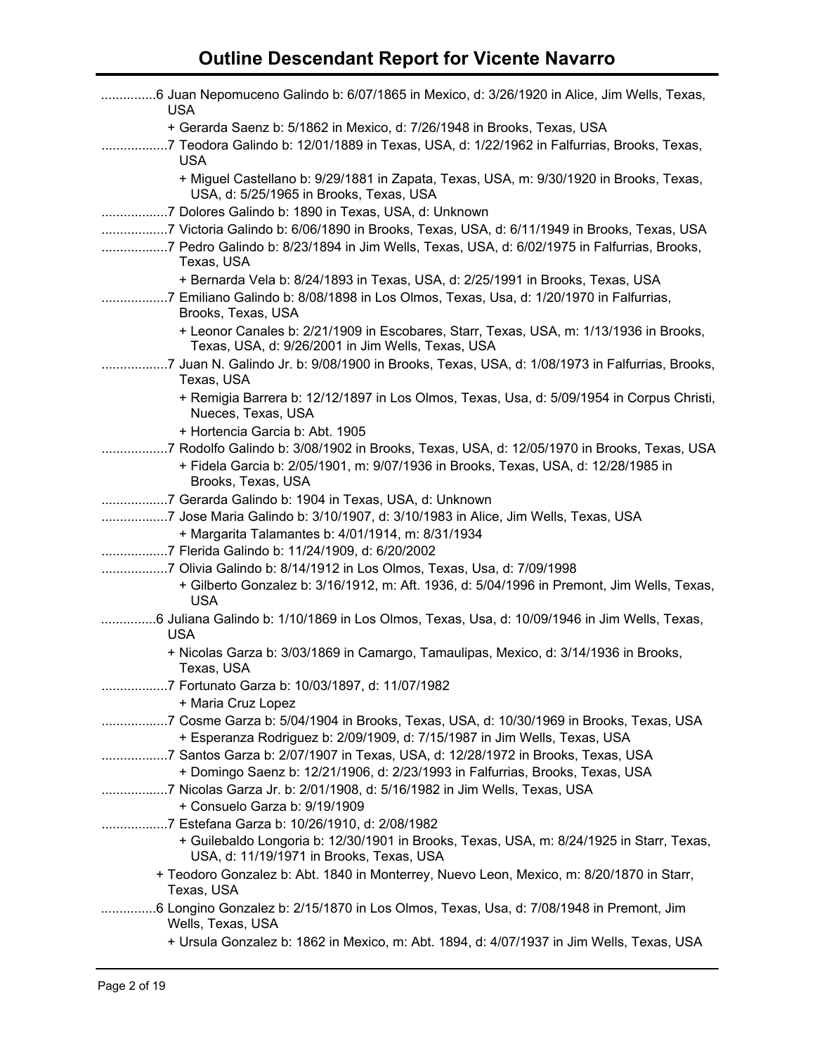| 6 Juan Nepomuceno Galindo b: 6/07/1865 in Mexico, d: 3/26/1920 in Alice, Jim Wells, Texas,<br><b>USA</b>                                                                                              |
|-------------------------------------------------------------------------------------------------------------------------------------------------------------------------------------------------------|
| + Gerarda Saenz b: 5/1862 in Mexico, d: 7/26/1948 in Brooks, Texas, USA<br>7 Teodora Galindo b: 12/01/1889 in Texas, USA, d: 1/22/1962 in Falfurrias, Brooks, Texas,<br>.<br><b>USA</b>               |
| + Miguel Castellano b: 9/29/1881 in Zapata, Texas, USA, m: 9/30/1920 in Brooks, Texas,<br>USA, d: 5/25/1965 in Brooks, Texas, USA                                                                     |
| 7 Dolores Galindo b: 1890 in Texas, USA, d: Unknown                                                                                                                                                   |
| 7 Victoria Galindo b: 6/06/1890 in Brooks, Texas, USA, d: 6/11/1949 in Brooks, Texas, USA<br>7 Pedro Galindo b: 8/23/1894 in Jim Wells, Texas, USA, d: 6/02/1975 in Falfurrias, Brooks,<br>Texas, USA |
| + Bernarda Vela b: 8/24/1893 in Texas, USA, d: 2/25/1991 in Brooks, Texas, USA                                                                                                                        |
| 7 Emiliano Galindo b: 8/08/1898 in Los Olmos, Texas, Usa, d: 1/20/1970 in Falfurrias,<br>Brooks, Texas, USA                                                                                           |
| + Leonor Canales b: 2/21/1909 in Escobares, Starr, Texas, USA, m: 1/13/1936 in Brooks,<br>Texas, USA, d: 9/26/2001 in Jim Wells, Texas, USA                                                           |
| 7 Juan N. Galindo Jr. b: 9/08/1900 in Brooks, Texas, USA, d: 1/08/1973 in Falfurrias, Brooks,<br>Texas, USA                                                                                           |
| + Remigia Barrera b: 12/12/1897 in Los Olmos, Texas, Usa, d: 5/09/1954 in Corpus Christi,<br>Nueces, Texas, USA                                                                                       |
| + Hortencia Garcia b: Abt. 1905                                                                                                                                                                       |
| 7 Rodolfo Galindo b: 3/08/1902 in Brooks, Texas, USA, d: 12/05/1970 in Brooks, Texas, USA                                                                                                             |
| + Fidela Garcia b: 2/05/1901, m: 9/07/1936 in Brooks, Texas, USA, d: 12/28/1985 in<br>Brooks, Texas, USA                                                                                              |
| 7 Gerarda Galindo b: 1904 in Texas, USA, d: Unknown                                                                                                                                                   |
| 7 Jose Maria Galindo b: 3/10/1907, d: 3/10/1983 in Alice, Jim Wells, Texas, USA                                                                                                                       |
| + Margarita Talamantes b: 4/01/1914, m: 8/31/1934                                                                                                                                                     |
| 7 Flerida Galindo b: 11/24/1909, d: 6/20/2002                                                                                                                                                         |
| 7 Olivia Galindo b: 8/14/1912 in Los Olmos, Texas, Usa, d: 7/09/1998                                                                                                                                  |
| + Gilberto Gonzalez b: 3/16/1912, m: Aft. 1936, d: 5/04/1996 in Premont, Jim Wells, Texas,<br><b>USA</b>                                                                                              |
| 6 Juliana Galindo b: 1/10/1869 in Los Olmos, Texas, Usa, d: 10/09/1946 in Jim Wells, Texas,<br><b>USA</b>                                                                                             |
| + Nicolas Garza b: 3/03/1869 in Camargo, Tamaulipas, Mexico, d: 3/14/1936 in Brooks,<br>Texas, USA                                                                                                    |
| 7 Fortunato Garza b: 10/03/1897, d: 11/07/1982                                                                                                                                                        |
| + Maria Cruz Lopez                                                                                                                                                                                    |
| 7 Cosme Garza b: 5/04/1904 in Brooks, Texas, USA, d: 10/30/1969 in Brooks, Texas, USA<br>+ Esperanza Rodriguez b: 2/09/1909, d: 7/15/1987 in Jim Wells, Texas, USA                                    |
| 7 Santos Garza b: 2/07/1907 in Texas, USA, d: 12/28/1972 in Brooks, Texas, USA<br>+ Domingo Saenz b: 12/21/1906, d: 2/23/1993 in Falfurrias, Brooks, Texas, USA                                       |
| 7 Nicolas Garza Jr. b: 2/01/1908, d: 5/16/1982 in Jim Wells, Texas, USA<br>+ Consuelo Garza b: 9/19/1909                                                                                              |
| 7 Estefana Garza b: 10/26/1910, d: 2/08/1982<br>+ Guilebaldo Longoria b: 12/30/1901 in Brooks, Texas, USA, m: 8/24/1925 in Starr, Texas,<br>USA, d: 11/19/1971 in Brooks, Texas, USA                  |
| + Teodoro Gonzalez b: Abt. 1840 in Monterrey, Nuevo Leon, Mexico, m: 8/20/1870 in Starr,<br>Texas, USA                                                                                                |
| 6 Longino Gonzalez b: 2/15/1870 in Los Olmos, Texas, Usa, d: 7/08/1948 in Premont, Jim<br>Wells, Texas, USA                                                                                           |
| + Ursula Gonzalez b: 1862 in Mexico, m: Abt. 1894, d: 4/07/1937 in Jim Wells, Texas, USA                                                                                                              |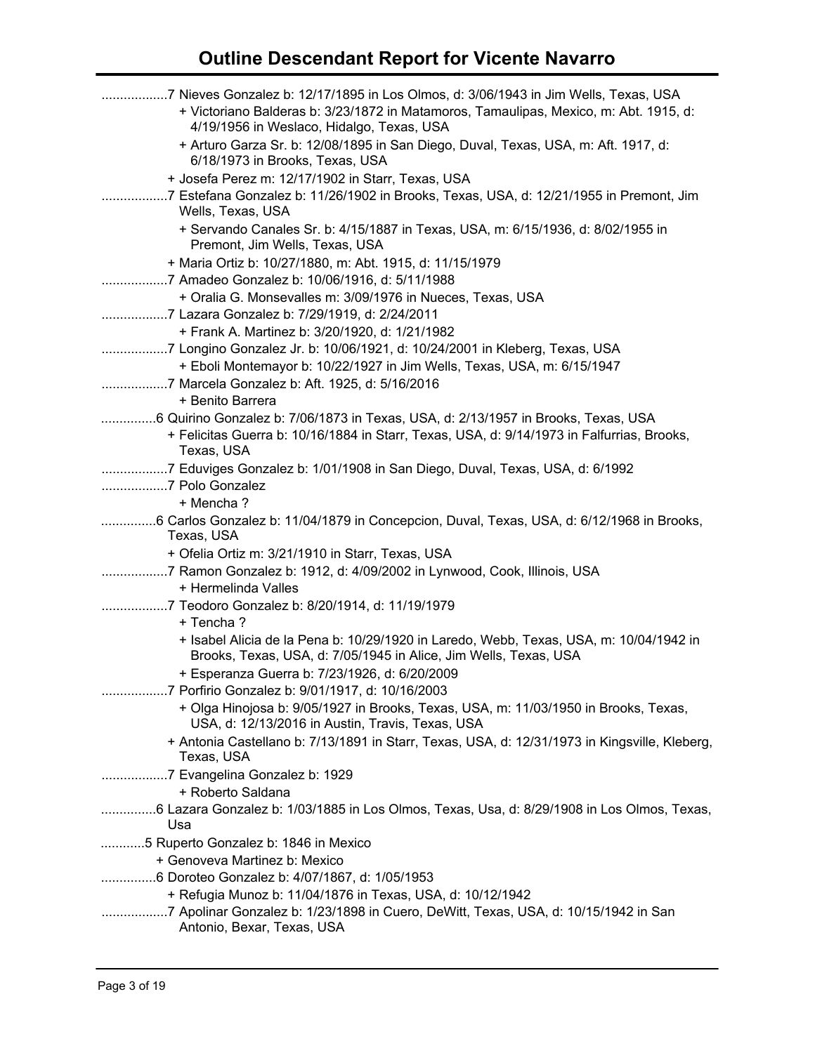| 7 Nieves Gonzalez b: 12/17/1895 in Los Olmos, d: 3/06/1943 in Jim Wells, Texas, USA<br>+ Victoriano Balderas b: 3/23/1872 in Matamoros, Tamaulipas, Mexico, m: Abt. 1915, d:<br>4/19/1956 in Weslaco, Hidalgo, Texas, USA |
|---------------------------------------------------------------------------------------------------------------------------------------------------------------------------------------------------------------------------|
| + Arturo Garza Sr. b: 12/08/1895 in San Diego, Duval, Texas, USA, m: Aft. 1917, d:<br>6/18/1973 in Brooks, Texas, USA                                                                                                     |
| + Josefa Perez m: 12/17/1902 in Starr, Texas, USA                                                                                                                                                                         |
| 7 Estefana Gonzalez b: 11/26/1902 in Brooks, Texas, USA, d: 12/21/1955 in Premont, Jim<br>Wells, Texas, USA                                                                                                               |
| + Servando Canales Sr. b: 4/15/1887 in Texas, USA, m: 6/15/1936, d: 8/02/1955 in<br>Premont, Jim Wells, Texas, USA                                                                                                        |
| + Maria Ortiz b: 10/27/1880, m: Abt. 1915, d: 11/15/1979                                                                                                                                                                  |
| 7 Amadeo Gonzalez b: 10/06/1916, d: 5/11/1988                                                                                                                                                                             |
| + Oralia G. Monsevalles m: 3/09/1976 in Nueces, Texas, USA<br>7 Lazara Gonzalez b: 7/29/1919, d: 2/24/2011                                                                                                                |
| + Frank A. Martinez b: 3/20/1920, d: 1/21/1982                                                                                                                                                                            |
|                                                                                                                                                                                                                           |
| + Eboli Montemayor b: 10/22/1927 in Jim Wells, Texas, USA, m: 6/15/1947                                                                                                                                                   |
| 7 Marcela Gonzalez b: Aft. 1925, d: 5/16/2016                                                                                                                                                                             |
| + Benito Barrera                                                                                                                                                                                                          |
| 6 Quirino Gonzalez b: 7/06/1873 in Texas, USA, d: 2/13/1957 in Brooks, Texas, USA                                                                                                                                         |
| + Felicitas Guerra b: 10/16/1884 in Starr, Texas, USA, d: 9/14/1973 in Falfurrias, Brooks,<br>Texas, USA                                                                                                                  |
| 7 Eduviges Gonzalez b: 1/01/1908 in San Diego, Duval, Texas, USA, d: 6/1992                                                                                                                                               |
| 7 Polo Gonzalez                                                                                                                                                                                                           |
| + Mencha?                                                                                                                                                                                                                 |
| 6 Carlos Gonzalez b: 11/04/1879 in Concepcion, Duval, Texas, USA, d: 6/12/1968 in Brooks,<br>Texas, USA                                                                                                                   |
| + Ofelia Ortiz m: 3/21/1910 in Starr, Texas, USA                                                                                                                                                                          |
| 7 Ramon Gonzalez b: 1912, d: 4/09/2002 in Lynwood, Cook, Illinois, USA<br>+ Hermelinda Valles                                                                                                                             |
| 7 Teodoro Gonzalez b: 8/20/1914, d: 11/19/1979                                                                                                                                                                            |
| + Tencha?                                                                                                                                                                                                                 |
| + Isabel Alicia de la Pena b: 10/29/1920 in Laredo, Webb, Texas, USA, m: 10/04/1942 in                                                                                                                                    |
| Brooks, Texas, USA, d: 7/05/1945 in Alice, Jim Wells, Texas, USA                                                                                                                                                          |
| + Esperanza Guerra b: 7/23/1926, d: 6/20/2009                                                                                                                                                                             |
|                                                                                                                                                                                                                           |
| + Olga Hinojosa b: 9/05/1927 in Brooks, Texas, USA, m: 11/03/1950 in Brooks, Texas,<br>USA, d: 12/13/2016 in Austin, Travis, Texas, USA                                                                                   |
| + Antonia Castellano b: 7/13/1891 in Starr, Texas, USA, d: 12/31/1973 in Kingsville, Kleberg,<br>Texas, USA                                                                                                               |
| 7 Evangelina Gonzalez b: 1929                                                                                                                                                                                             |
| + Roberto Saldana                                                                                                                                                                                                         |
| 6 Lazara Gonzalez b: 1/03/1885 in Los Olmos, Texas, Usa, d: 8/29/1908 in Los Olmos, Texas,<br>Usa                                                                                                                         |
| 5 Ruperto Gonzalez b: 1846 in Mexico                                                                                                                                                                                      |
| + Genoveva Martinez b: Mexico                                                                                                                                                                                             |
| 6 Doroteo Gonzalez b: 4/07/1867, d: 1/05/1953                                                                                                                                                                             |
| + Refugia Munoz b: 11/04/1876 in Texas, USA, d: 10/12/1942                                                                                                                                                                |
| 7 Apolinar Gonzalez b: 1/23/1898 in Cuero, DeWitt, Texas, USA, d: 10/15/1942 in San<br>.<br>Antonio, Bexar, Texas, USA                                                                                                    |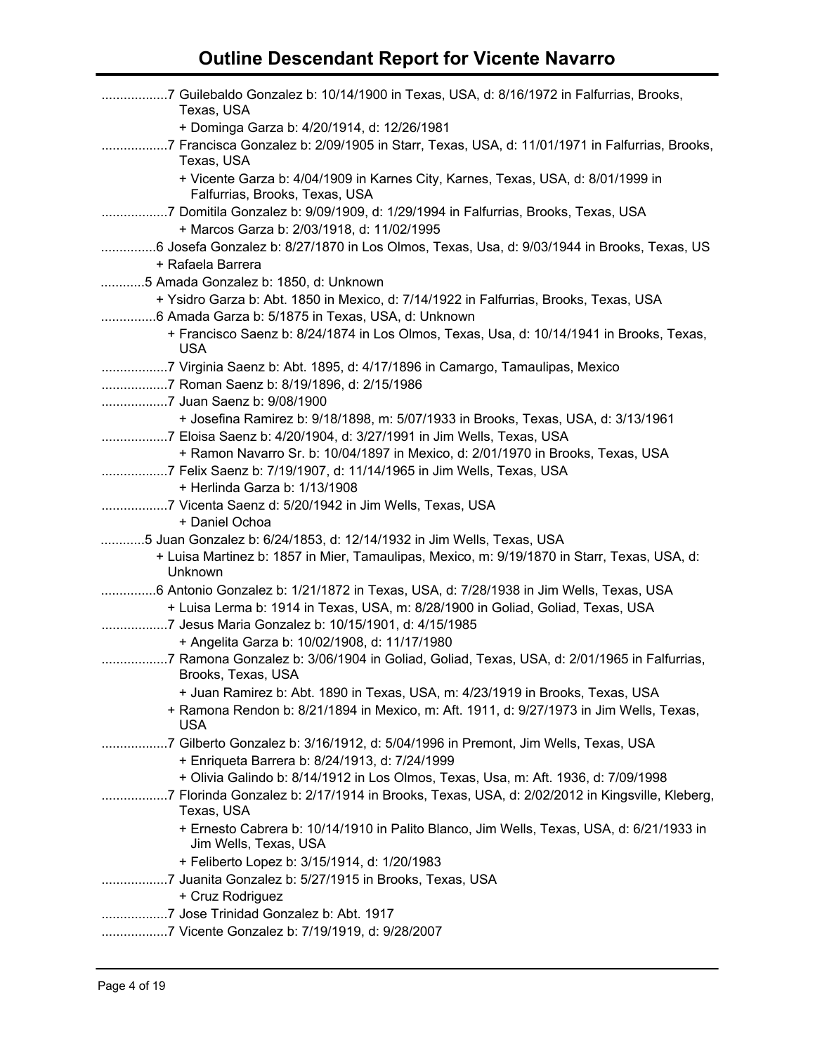| 7 Guilebaldo Gonzalez b: 10/14/1900 in Texas, USA, d: 8/16/1972 in Falfurrias, Brooks,<br>Texas, USA                           |
|--------------------------------------------------------------------------------------------------------------------------------|
| + Dominga Garza b: 4/20/1914, d: 12/26/1981                                                                                    |
| 7 Francisca Gonzalez b: 2/09/1905 in Starr, Texas, USA, d: 11/01/1971 in Falfurrias, Brooks,<br>Texas, USA                     |
| + Vicente Garza b: 4/04/1909 in Karnes City, Karnes, Texas, USA, d: 8/01/1999 in<br>Falfurrias, Brooks, Texas, USA             |
| 7 Domitila Gonzalez b: 9/09/1909, d: 1/29/1994 in Falfurrias, Brooks, Texas, USA<br>+ Marcos Garza b: 2/03/1918, d: 11/02/1995 |
| 6 Josefa Gonzalez b: 8/27/1870 in Los Olmos, Texas, Usa, d: 9/03/1944 in Brooks, Texas, US                                     |
| + Rafaela Barrera                                                                                                              |
| 5 Amada Gonzalez b: 1850, d: Unknown                                                                                           |
| + Ysidro Garza b: Abt. 1850 in Mexico, d: 7/14/1922 in Falfurrias, Brooks, Texas, USA                                          |
| 6 Amada Garza b: 5/1875 in Texas, USA, d: Unknown                                                                              |
| + Francisco Saenz b: 8/24/1874 in Los Olmos, Texas, Usa, d: 10/14/1941 in Brooks, Texas,<br><b>USA</b>                         |
| 7 Virginia Saenz b: Abt. 1895, d: 4/17/1896 in Camargo, Tamaulipas, Mexico                                                     |
| 7 Roman Saenz b: 8/19/1896, d: 2/15/1986                                                                                       |
|                                                                                                                                |
| + Josefina Ramirez b: 9/18/1898, m: 5/07/1933 in Brooks, Texas, USA, d: 3/13/1961                                              |
| 7 Eloisa Saenz b: 4/20/1904, d: 3/27/1991 in Jim Wells, Texas, USA                                                             |
| + Ramon Navarro Sr. b: 10/04/1897 in Mexico, d: 2/01/1970 in Brooks, Texas, USA                                                |
| 7 Felix Saenz b: 7/19/1907, d: 11/14/1965 in Jim Wells, Texas, USA                                                             |
| + Herlinda Garza b: 1/13/1908                                                                                                  |
| 7 Vicenta Saenz d: 5/20/1942 in Jim Wells, Texas, USA                                                                          |
| + Daniel Ochoa                                                                                                                 |
| 5 Juan Gonzalez b: 6/24/1853, d: 12/14/1932 in Jim Wells, Texas, USA                                                           |
| + Luisa Martinez b: 1857 in Mier, Tamaulipas, Mexico, m: 9/19/1870 in Starr, Texas, USA, d:                                    |
| Unknown                                                                                                                        |
| 6 Antonio Gonzalez b: 1/21/1872 in Texas, USA, d: 7/28/1938 in Jim Wells, Texas, USA                                           |
| + Luisa Lerma b: 1914 in Texas, USA, m: 8/28/1900 in Goliad, Goliad, Texas, USA                                                |
| 7 Jesus Maria Gonzalez b: 10/15/1901, d: 4/15/1985                                                                             |
| + Angelita Garza b: 10/02/1908, d: 11/17/1980                                                                                  |
| 7 Ramona Gonzalez b: 3/06/1904 in Goliad, Goliad, Texas, USA, d: 2/01/1965 in Falfurrias,                                      |
| Brooks, Texas, USA                                                                                                             |
| + Juan Ramirez b: Abt. 1890 in Texas, USA, m: 4/23/1919 in Brooks, Texas, USA                                                  |
| + Ramona Rendon b: 8/21/1894 in Mexico, m: Aft. 1911, d: 9/27/1973 in Jim Wells, Texas,                                        |
| <b>USA</b>                                                                                                                     |
| 7 Gilberto Gonzalez b: 3/16/1912, d: 5/04/1996 in Premont, Jim Wells, Texas, USA                                               |
| + Enriqueta Barrera b: 8/24/1913, d: 7/24/1999                                                                                 |
| + Olivia Galindo b: 8/14/1912 in Los Olmos, Texas, Usa, m: Aft. 1936, d: 7/09/1998                                             |
| 7 Florinda Gonzalez b: 2/17/1914 in Brooks, Texas, USA, d: 2/02/2012 in Kingsville, Kleberg,                                   |
| Texas, USA                                                                                                                     |
| + Ernesto Cabrera b: 10/14/1910 in Palito Blanco, Jim Wells, Texas, USA, d: 6/21/1933 in<br>Jim Wells, Texas, USA              |
| + Feliberto Lopez b: 3/15/1914, d: 1/20/1983                                                                                   |
| 7 Juanita Gonzalez b: 5/27/1915 in Brooks, Texas, USA                                                                          |
| + Cruz Rodriguez                                                                                                               |
| 7 Jose Trinidad Gonzalez b: Abt. 1917                                                                                          |
| 7 Vicente Gonzalez b: 7/19/1919, d: 9/28/2007                                                                                  |
|                                                                                                                                |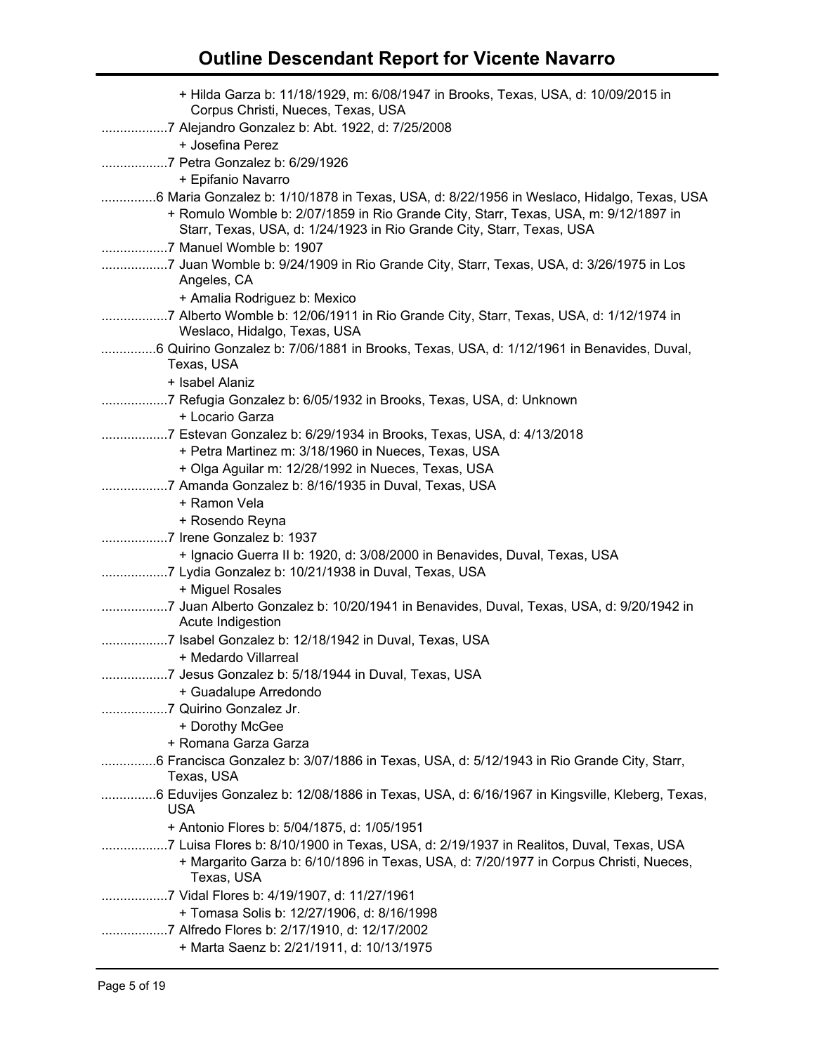| + Hilda Garza b: 11/18/1929, m: 6/08/1947 in Brooks, Texas, USA, d: 10/09/2015 in<br>Corpus Christi, Nueces, Texas, USA                                                         |
|---------------------------------------------------------------------------------------------------------------------------------------------------------------------------------|
| + Josefina Perez                                                                                                                                                                |
|                                                                                                                                                                                 |
| + Epifanio Navarro<br>6 Maria Gonzalez b: 1/10/1878 in Texas, USA, d: 8/22/1956 in Weslaco, Hidalgo, Texas, USA                                                                 |
| + Romulo Womble b: 2/07/1859 in Rio Grande City, Starr, Texas, USA, m: 9/12/1897 in<br>Starr, Texas, USA, d: 1/24/1923 in Rio Grande City, Starr, Texas, USA                    |
|                                                                                                                                                                                 |
| 7 Juan Womble b: 9/24/1909 in Rio Grande City, Starr, Texas, USA, d: 3/26/1975 in Los<br>Angeles, CA                                                                            |
| + Amalia Rodriguez b: Mexico                                                                                                                                                    |
| 7 Alberto Womble b: 12/06/1911 in Rio Grande City, Starr, Texas, USA, d: 1/12/1974 in<br>Weslaco, Hidalgo, Texas, USA                                                           |
| 6 Quirino Gonzalez b: 7/06/1881 in Brooks, Texas, USA, d: 1/12/1961 in Benavides, Duval,<br>Texas, USA                                                                          |
| + Isabel Alaniz                                                                                                                                                                 |
| 7 Refugia Gonzalez b: 6/05/1932 in Brooks, Texas, USA, d: Unknown<br>+ Locario Garza                                                                                            |
| 7 Estevan Gonzalez b: 6/29/1934 in Brooks, Texas, USA, d: 4/13/2018                                                                                                             |
| + Petra Martinez m: 3/18/1960 in Nueces, Texas, USA                                                                                                                             |
| + Olga Aguilar m: 12/28/1992 in Nueces, Texas, USA                                                                                                                              |
| 7 Amanda Gonzalez b: 8/16/1935 in Duval, Texas, USA                                                                                                                             |
| + Ramon Vela                                                                                                                                                                    |
| + Rosendo Reyna                                                                                                                                                                 |
|                                                                                                                                                                                 |
| + Ignacio Guerra II b: 1920, d: 3/08/2000 in Benavides, Duval, Texas, USA                                                                                                       |
| 7 Lydia Gonzalez b: 10/21/1938 in Duval, Texas, USA                                                                                                                             |
| + Miguel Rosales                                                                                                                                                                |
| 7 Juan Alberto Gonzalez b: 10/20/1941 in Benavides, Duval, Texas, USA, d: 9/20/1942 in<br>Acute Indigestion                                                                     |
| 7 Isabel Gonzalez b: 12/18/1942 in Duval, Texas, USA                                                                                                                            |
| + Medardo Villarreal<br>7 Jesus Gonzalez b: 5/18/1944 in Duval, Texas, USA                                                                                                      |
|                                                                                                                                                                                 |
| + Guadalupe Arredondo<br>7 Quirino Gonzalez Jr.                                                                                                                                 |
| + Dorothy McGee                                                                                                                                                                 |
| + Romana Garza Garza                                                                                                                                                            |
| 6 Francisca Gonzalez b: 3/07/1886 in Texas, USA, d: 5/12/1943 in Rio Grande City, Starr,                                                                                        |
| Texas, USA                                                                                                                                                                      |
| 6 Eduvijes Gonzalez b: 12/08/1886 in Texas, USA, d: 6/16/1967 in Kingsville, Kleberg, Texas,<br><b>USA</b>                                                                      |
| + Antonio Flores b: 5/04/1875, d: 1/05/1951                                                                                                                                     |
| 7 Luisa Flores b: 8/10/1900 in Texas, USA, d: 2/19/1937 in Realitos, Duval, Texas, USA<br>+ Margarito Garza b: 6/10/1896 in Texas, USA, d: 7/20/1977 in Corpus Christi, Nueces, |
| Texas, USA                                                                                                                                                                      |
| 7 Vidal Flores b: 4/19/1907, d: 11/27/1961                                                                                                                                      |
| + Tomasa Solis b: 12/27/1906, d: 8/16/1998                                                                                                                                      |
| 7 Alfredo Flores b: 2/17/1910, d: 12/17/2002                                                                                                                                    |
| + Marta Saenz b: 2/21/1911, d: 10/13/1975                                                                                                                                       |
|                                                                                                                                                                                 |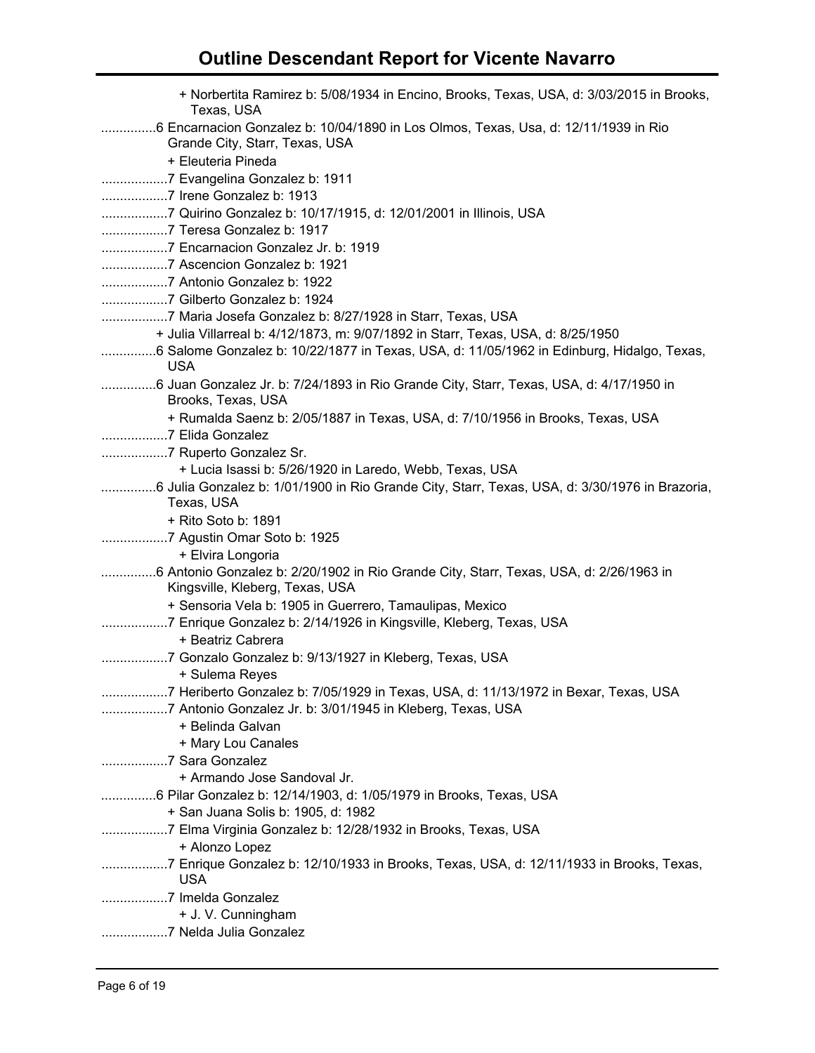| + Norbertita Ramirez b: 5/08/1934 in Encino, Brooks, Texas, USA, d: 3/03/2015 in Brooks,<br>Texas, USA                    |
|---------------------------------------------------------------------------------------------------------------------------|
| 6 Encarnacion Gonzalez b: 10/04/1890 in Los Olmos, Texas, Usa, d: 12/11/1939 in Rio<br>Grande City, Starr, Texas, USA     |
| + Eleuteria Pineda                                                                                                        |
|                                                                                                                           |
| 7 Irene Gonzalez b: 1913                                                                                                  |
|                                                                                                                           |
| 7 Teresa Gonzalez b: 1917                                                                                                 |
| 7 Encarnacion Gonzalez Jr. b: 1919                                                                                        |
|                                                                                                                           |
|                                                                                                                           |
|                                                                                                                           |
|                                                                                                                           |
| + Julia Villarreal b: 4/12/1873, m: 9/07/1892 in Starr, Texas, USA, d: 8/25/1950                                          |
| 6 Salome Gonzalez b: 10/22/1877 in Texas, USA, d: 11/05/1962 in Edinburg, Hidalgo, Texas,                                 |
| <b>USA</b>                                                                                                                |
| 6 Juan Gonzalez Jr. b: 7/24/1893 in Rio Grande City, Starr, Texas, USA, d: 4/17/1950 in<br>Brooks, Texas, USA             |
| + Rumalda Saenz b: 2/05/1887 in Texas, USA, d: 7/10/1956 in Brooks, Texas, USA                                            |
| 7 Elida Gonzalez                                                                                                          |
| 7 Ruperto Gonzalez Sr.                                                                                                    |
| + Lucia Isassi b: 5/26/1920 in Laredo, Webb, Texas, USA                                                                   |
| 6 Julia Gonzalez b: 1/01/1900 in Rio Grande City, Starr, Texas, USA, d: 3/30/1976 in Brazoria,<br>Texas, USA              |
| + Rito Soto b: 1891                                                                                                       |
|                                                                                                                           |
| + Elvira Longoria                                                                                                         |
| 6 Antonio Gonzalez b: 2/20/1902 in Rio Grande City, Starr, Texas, USA, d: 2/26/1963 in<br>Kingsville, Kleberg, Texas, USA |
| + Sensoria Vela b: 1905 in Guerrero, Tamaulipas, Mexico                                                                   |
|                                                                                                                           |
| + Beatriz Cabrera                                                                                                         |
| 7 Gonzalo Gonzalez b: 9/13/1927 in Kleberg, Texas, USA                                                                    |
| + Sulema Reyes                                                                                                            |
| 7 Heriberto Gonzalez b: 7/05/1929 in Texas, USA, d: 11/13/1972 in Bexar, Texas, USA                                       |
| 7 Antonio Gonzalez Jr. b: 3/01/1945 in Kleberg, Texas, USA                                                                |
| + Belinda Galvan                                                                                                          |
| + Mary Lou Canales                                                                                                        |
| + Armando Jose Sandoval Jr.                                                                                               |
| 6 Pilar Gonzalez b: 12/14/1903, d: 1/05/1979 in Brooks, Texas, USA                                                        |
| + San Juana Solis b: 1905, d: 1982                                                                                        |
| 7 Elma Virginia Gonzalez b: 12/28/1932 in Brooks, Texas, USA                                                              |
| + Alonzo Lopez                                                                                                            |
| 7 Enrique Gonzalez b: 12/10/1933 in Brooks, Texas, USA, d: 12/11/1933 in Brooks, Texas,                                   |
| <b>USA</b>                                                                                                                |
|                                                                                                                           |
| + J. V. Cunningham                                                                                                        |
|                                                                                                                           |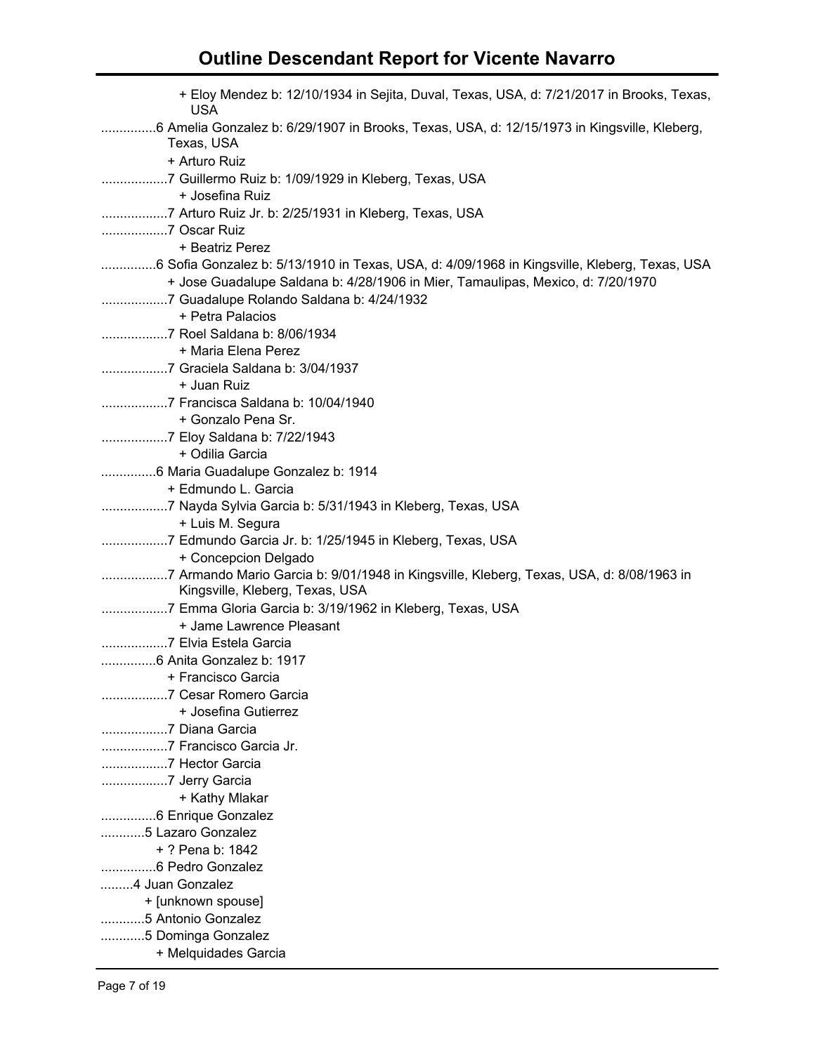| + Eloy Mendez b: 12/10/1934 in Sejita, Duval, Texas, USA, d: 7/21/2017 in Brooks, Texas,<br><b>USA</b>                                                                          |
|---------------------------------------------------------------------------------------------------------------------------------------------------------------------------------|
| 6 Amelia Gonzalez b: 6/29/1907 in Brooks, Texas, USA, d: 12/15/1973 in Kingsville, Kleberg,<br>Texas, USA                                                                       |
| + Arturo Ruiz                                                                                                                                                                   |
| 7 Guillermo Ruiz b: 1/09/1929 in Kleberg, Texas, USA<br>+ Josefina Ruiz                                                                                                         |
| 7 Arturo Ruiz Jr. b: 2/25/1931 in Kleberg, Texas, USA                                                                                                                           |
| 7 Oscar Ruiz                                                                                                                                                                    |
| + Beatriz Perez                                                                                                                                                                 |
| 6 Sofia Gonzalez b: 5/13/1910 in Texas, USA, d: 4/09/1968 in Kingsville, Kleberg, Texas, USA<br>+ Jose Guadalupe Saldana b: 4/28/1906 in Mier, Tamaulipas, Mexico, d: 7/20/1970 |
| + Petra Palacios                                                                                                                                                                |
| 7 Roel Saldana b: 8/06/1934                                                                                                                                                     |
| + Maria Elena Perez                                                                                                                                                             |
|                                                                                                                                                                                 |
| + Juan Ruiz                                                                                                                                                                     |
| 7 Francisca Saldana b: 10/04/1940                                                                                                                                               |
| + Gonzalo Pena Sr.                                                                                                                                                              |
|                                                                                                                                                                                 |
| + Odilia Garcia                                                                                                                                                                 |
|                                                                                                                                                                                 |
| + Edmundo L. Garcia                                                                                                                                                             |
|                                                                                                                                                                                 |
| + Luis M. Segura                                                                                                                                                                |
| 7 Edmundo Garcia Jr. b: 1/25/1945 in Kleberg, Texas, USA<br>+ Concepcion Delgado                                                                                                |
|                                                                                                                                                                                 |
| Kingsville, Kleberg, Texas, USA                                                                                                                                                 |
|                                                                                                                                                                                 |
| + Jame Lawrence Pleasant                                                                                                                                                        |
| 7 Elvia Estela Garcia                                                                                                                                                           |
|                                                                                                                                                                                 |
| + Francisco Garcia                                                                                                                                                              |
| + Josefina Gutierrez                                                                                                                                                            |
| 7 Diana Garcia                                                                                                                                                                  |
| 7 Francisco Garcia Jr.                                                                                                                                                          |
| 7 Hector Garcia                                                                                                                                                                 |
| 7 Jerry Garcia                                                                                                                                                                  |
| + Kathy Mlakar                                                                                                                                                                  |
| 6 Enrique Gonzalez                                                                                                                                                              |
| 5 Lazaro Gonzalez                                                                                                                                                               |
| + ? Pena b: 1842                                                                                                                                                                |
| 6 Pedro Gonzalez                                                                                                                                                                |
| 4 Juan Gonzalez                                                                                                                                                                 |
| + [unknown spouse]                                                                                                                                                              |
| 5 Antonio Gonzalez                                                                                                                                                              |
| 5 Dominga Gonzalez                                                                                                                                                              |
| + Melquidades Garcia                                                                                                                                                            |
|                                                                                                                                                                                 |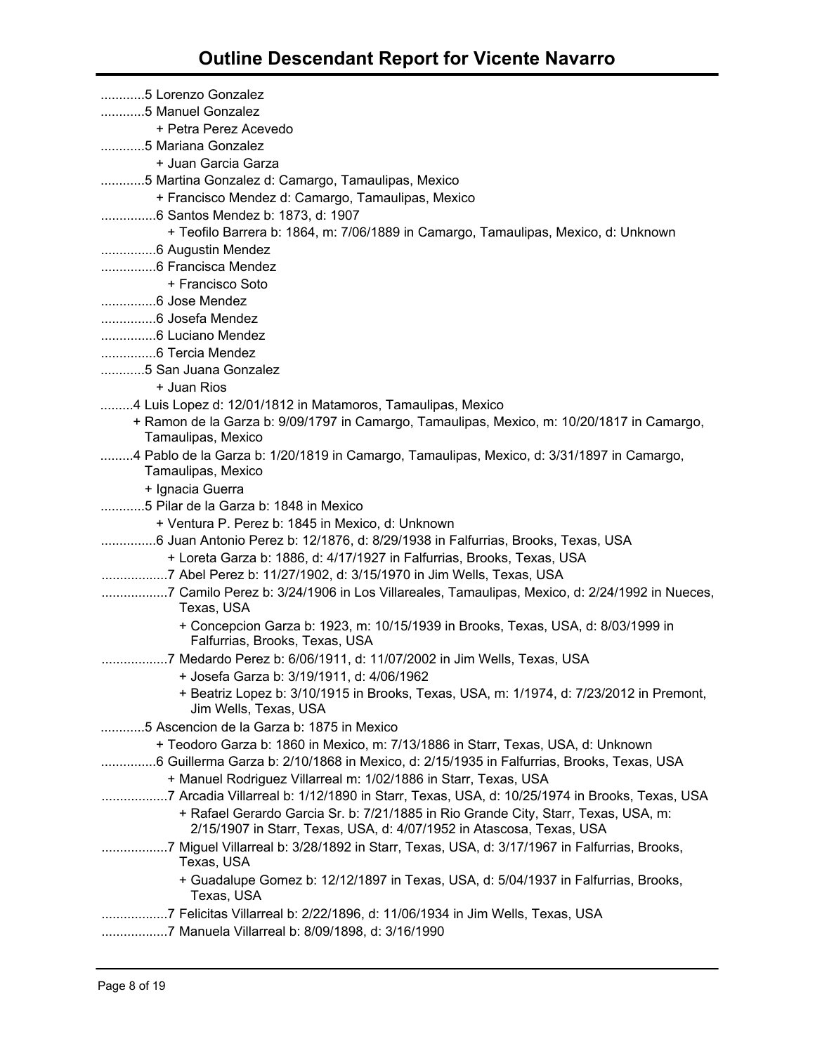| 5 Lorenzo Gonzalez                                                                                                 |
|--------------------------------------------------------------------------------------------------------------------|
| 5 Manuel Gonzalez                                                                                                  |
| + Petra Perez Acevedo                                                                                              |
| 5 Mariana Gonzalez                                                                                                 |
| + Juan Garcia Garza                                                                                                |
| 5 Martina Gonzalez d: Camargo, Tamaulipas, Mexico                                                                  |
| + Francisco Mendez d: Camargo, Tamaulipas, Mexico                                                                  |
|                                                                                                                    |
| + Teofilo Barrera b: 1864, m: 7/06/1889 in Camargo, Tamaulipas, Mexico, d: Unknown                                 |
|                                                                                                                    |
| 6 Francisca Mendez                                                                                                 |
| + Francisco Soto                                                                                                   |
| 6 Jose Mendez                                                                                                      |
| 6 Josefa Mendez                                                                                                    |
|                                                                                                                    |
| 6 Tercia Mendez                                                                                                    |
| 5 San Juana Gonzalez                                                                                               |
| + Juan Rios                                                                                                        |
| 4 Luis Lopez d: 12/01/1812 in Matamoros, Tamaulipas, Mexico                                                        |
| + Ramon de la Garza b: 9/09/1797 in Camargo, Tamaulipas, Mexico, m: 10/20/1817 in Camargo,<br>Tamaulipas, Mexico   |
| 4 Pablo de la Garza b: 1/20/1819 in Camargo, Tamaulipas, Mexico, d: 3/31/1897 in Camargo,                          |
| Tamaulipas, Mexico                                                                                                 |
| + Ignacia Guerra                                                                                                   |
| 5 Pilar de la Garza b: 1848 in Mexico                                                                              |
| + Ventura P. Perez b: 1845 in Mexico, d: Unknown                                                                   |
| 6 Juan Antonio Perez b: 12/1876, d: 8/29/1938 in Falfurrias, Brooks, Texas, USA                                    |
| + Loreta Garza b: 1886, d: 4/17/1927 in Falfurrias, Brooks, Texas, USA                                             |
|                                                                                                                    |
| 7 Camilo Perez b: 3/24/1906 in Los Villareales, Tamaulipas, Mexico, d: 2/24/1992 in Nueces,<br>Texas, USA          |
| + Concepcion Garza b: 1923, m: 10/15/1939 in Brooks, Texas, USA, d: 8/03/1999 in<br>Falfurrias, Brooks, Texas, USA |
| 7 Medardo Perez b: 6/06/1911, d: 11/07/2002 in Jim Wells, Texas, USA                                               |
| + Josefa Garza b: 3/19/1911, d: 4/06/1962                                                                          |
| + Beatriz Lopez b: 3/10/1915 in Brooks, Texas, USA, m: 1/1974, d: 7/23/2012 in Premont,<br>Jim Wells, Texas, USA   |
| 5 Ascencion de la Garza b: 1875 in Mexico                                                                          |
| + Teodoro Garza b: 1860 in Mexico, m: 7/13/1886 in Starr, Texas, USA, d: Unknown                                   |
| 6 Guillerma Garza b: 2/10/1868 in Mexico, d: 2/15/1935 in Falfurrias, Brooks, Texas, USA                           |
| + Manuel Rodriguez Villarreal m: 1/02/1886 in Starr, Texas, USA                                                    |
| 7 Arcadia Villarreal b: 1/12/1890 in Starr, Texas, USA, d: 10/25/1974 in Brooks, Texas, USA                        |
| + Rafael Gerardo Garcia Sr. b: 7/21/1885 in Rio Grande City, Starr, Texas, USA, m:                                 |
| 2/15/1907 in Starr, Texas, USA, d: 4/07/1952 in Atascosa, Texas, USA                                               |
| 7 Miguel Villarreal b: 3/28/1892 in Starr, Texas, USA, d: 3/17/1967 in Falfurrias, Brooks,<br>Texas, USA           |
| + Guadalupe Gomez b: 12/12/1897 in Texas, USA, d: 5/04/1937 in Falfurrias, Brooks,<br>Texas, USA                   |
| 7 Felicitas Villarreal b: 2/22/1896, d: 11/06/1934 in Jim Wells, Texas, USA                                        |
| 7 Manuela Villarreal b: 8/09/1898, d: 3/16/1990                                                                    |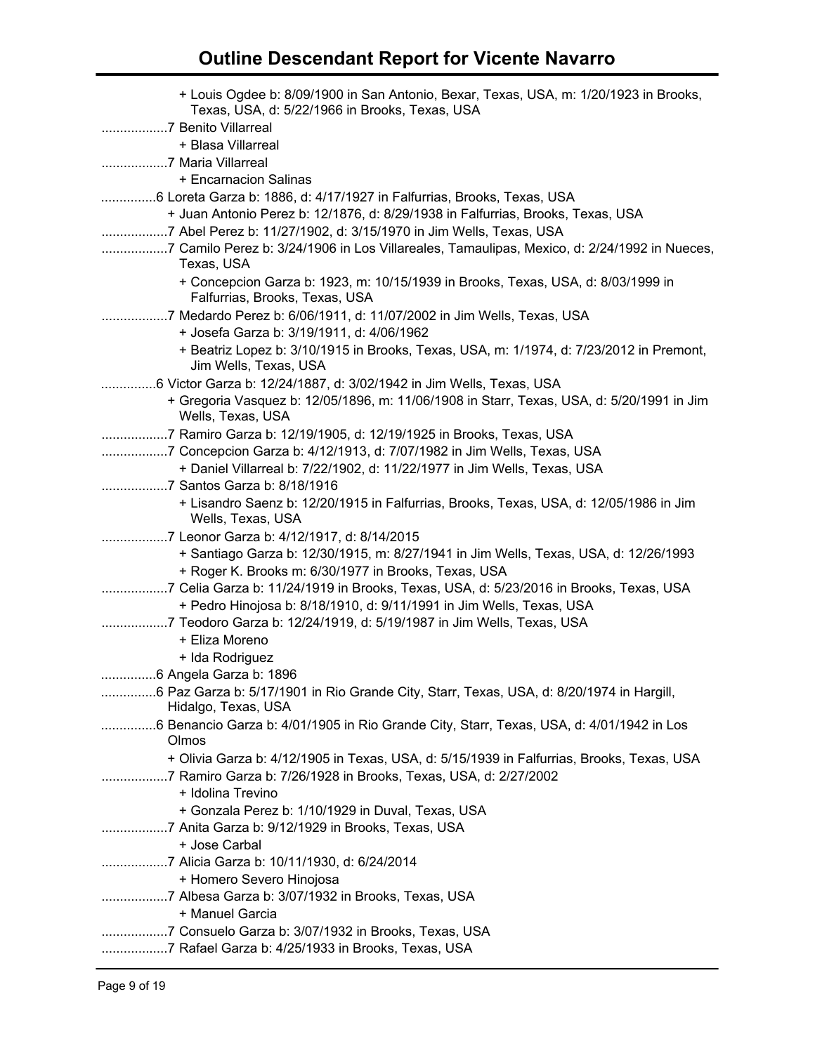| + Louis Ogdee b: 8/09/1900 in San Antonio, Bexar, Texas, USA, m: 1/20/1923 in Brooks,<br>Texas, USA, d: 5/22/1966 in Brooks, Texas, USA                       |
|---------------------------------------------------------------------------------------------------------------------------------------------------------------|
| 7 Benito Villarreal<br>+ Blasa Villarreal                                                                                                                     |
|                                                                                                                                                               |
| + Encarnacion Salinas                                                                                                                                         |
| 6 Loreta Garza b: 1886, d: 4/17/1927 in Falfurrias, Brooks, Texas, USA                                                                                        |
| + Juan Antonio Perez b: 12/1876, d: 8/29/1938 in Falfurrias, Brooks, Texas, USA                                                                               |
| 7 Abel Perez b: 11/27/1902, d: 3/15/1970 in Jim Wells, Texas, USA                                                                                             |
| 7 Camilo Perez b: 3/24/1906 in Los Villareales, Tamaulipas, Mexico, d: 2/24/1992 in Nueces,<br>Texas, USA                                                     |
| + Concepcion Garza b: 1923, m: 10/15/1939 in Brooks, Texas, USA, d: 8/03/1999 in<br>Falfurrias, Brooks, Texas, USA                                            |
| 7 Medardo Perez b: 6/06/1911, d: 11/07/2002 in Jim Wells, Texas, USA                                                                                          |
| + Josefa Garza b: 3/19/1911, d: 4/06/1962                                                                                                                     |
| + Beatriz Lopez b: 3/10/1915 in Brooks, Texas, USA, m: 1/1974, d: 7/23/2012 in Premont,<br>Jim Wells, Texas, USA                                              |
| 6 Victor Garza b: 12/24/1887, d: 3/02/1942 in Jim Wells, Texas, USA                                                                                           |
| + Gregoria Vasquez b: 12/05/1896, m: 11/06/1908 in Starr, Texas, USA, d: 5/20/1991 in Jim<br>Wells, Texas, USA                                                |
| 7 Ramiro Garza b: 12/19/1905, d: 12/19/1925 in Brooks, Texas, USA                                                                                             |
| 7 Concepcion Garza b: 4/12/1913, d: 7/07/1982 in Jim Wells, Texas, USA                                                                                        |
| + Daniel Villarreal b: 7/22/1902, d: 11/22/1977 in Jim Wells, Texas, USA                                                                                      |
|                                                                                                                                                               |
| + Lisandro Saenz b: 12/20/1915 in Falfurrias, Brooks, Texas, USA, d: 12/05/1986 in Jim<br>Wells, Texas, USA                                                   |
| 7 Leonor Garza b: 4/12/1917, d: 8/14/2015                                                                                                                     |
| + Santiago Garza b: 12/30/1915, m: 8/27/1941 in Jim Wells, Texas, USA, d: 12/26/1993                                                                          |
| + Roger K. Brooks m: 6/30/1977 in Brooks, Texas, USA                                                                                                          |
| 7 Celia Garza b: 11/24/1919 in Brooks, Texas, USA, d: 5/23/2016 in Brooks, Texas, USA<br>+ Pedro Hinojosa b: 8/18/1910, d: 9/11/1991 in Jim Wells, Texas, USA |
| 7 Teodoro Garza b: 12/24/1919, d: 5/19/1987 in Jim Wells, Texas, USA                                                                                          |
| + Eliza Moreno                                                                                                                                                |
| + Ida Rodriguez                                                                                                                                               |
| .6 Angela Garza b: 1896                                                                                                                                       |
| 6 Paz Garza b: 5/17/1901 in Rio Grande City, Starr, Texas, USA, d: 8/20/1974 in Hargill,                                                                      |
| Hidalgo, Texas, USA                                                                                                                                           |
| 6 Benancio Garza b: 4/01/1905 in Rio Grande City, Starr, Texas, USA, d: 4/01/1942 in Los<br>Olmos                                                             |
| + Olivia Garza b: 4/12/1905 in Texas, USA, d: 5/15/1939 in Falfurrias, Brooks, Texas, USA                                                                     |
| 7 Ramiro Garza b: 7/26/1928 in Brooks, Texas, USA, d: 2/27/2002<br>+ Idolina Trevino                                                                          |
| + Gonzala Perez b: 1/10/1929 in Duval, Texas, USA                                                                                                             |
| + Jose Carbal                                                                                                                                                 |
| + Homero Severo Hinojosa                                                                                                                                      |
|                                                                                                                                                               |
| + Manuel Garcia                                                                                                                                               |
| 7 Consuelo Garza b: 3/07/1932 in Brooks, Texas, USA                                                                                                           |
| 7 Rafael Garza b: 4/25/1933 in Brooks, Texas, USA                                                                                                             |
|                                                                                                                                                               |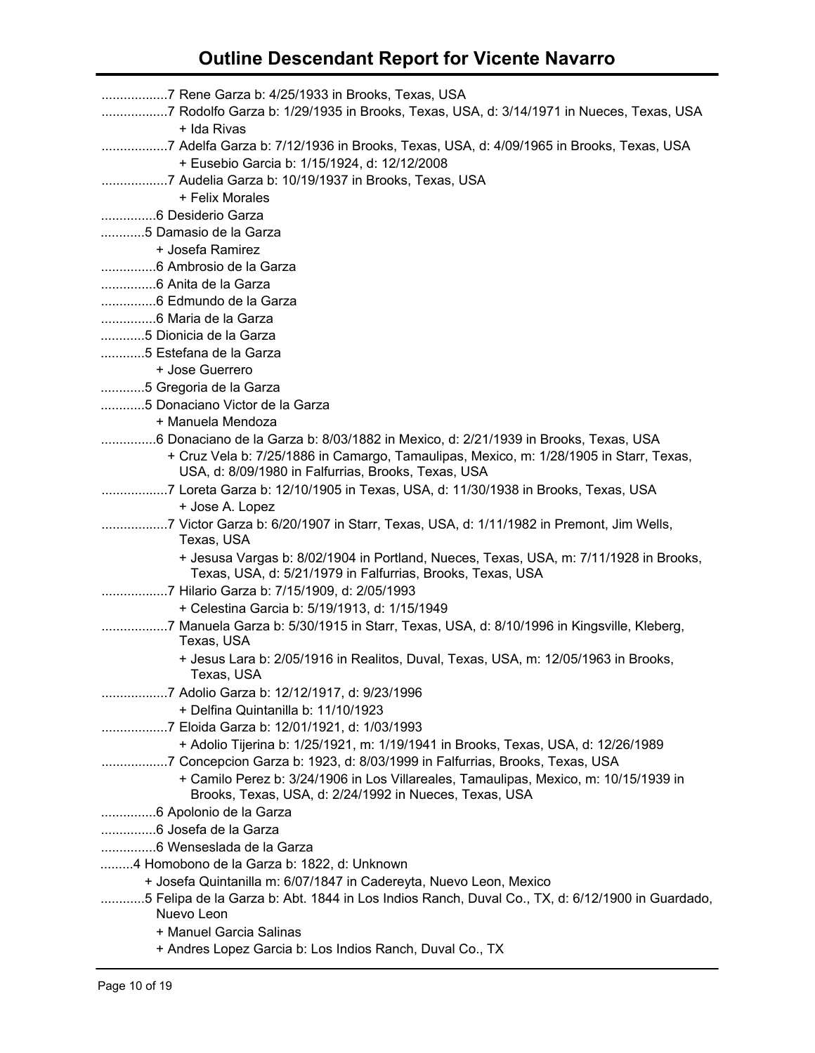| 7 Rodolfo Garza b: 1/29/1935 in Brooks, Texas, USA, d: 3/14/1971 in Nueces, Texas, USA                                                              |
|-----------------------------------------------------------------------------------------------------------------------------------------------------|
| + Ida Rivas                                                                                                                                         |
| 7 Adelfa Garza b: 7/12/1936 in Brooks, Texas, USA, d: 4/09/1965 in Brooks, Texas, USA                                                               |
| + Eusebio Garcia b: 1/15/1924, d: 12/12/2008                                                                                                        |
| 7 Audelia Garza b: 10/19/1937 in Brooks, Texas, USA                                                                                                 |
| + Felix Morales                                                                                                                                     |
|                                                                                                                                                     |
| 5 Damasio de la Garza                                                                                                                               |
| + Josefa Ramirez                                                                                                                                    |
|                                                                                                                                                     |
|                                                                                                                                                     |
|                                                                                                                                                     |
|                                                                                                                                                     |
| 5 Dionicia de la Garza                                                                                                                              |
| 5 Estefana de la Garza                                                                                                                              |
| + Jose Guerrero                                                                                                                                     |
| 5 Gregoria de la Garza                                                                                                                              |
| 5 Donaciano Victor de la Garza                                                                                                                      |
|                                                                                                                                                     |
| + Manuela Mendoza                                                                                                                                   |
| 6 Donaciano de la Garza b: 8/03/1882 in Mexico, d: 2/21/1939 in Brooks, Texas, USA                                                                  |
| + Cruz Vela b: 7/25/1886 in Camargo, Tamaulipas, Mexico, m: 1/28/1905 in Starr, Texas,<br>USA, d: 8/09/1980 in Falfurrias, Brooks, Texas, USA       |
| 7 Loreta Garza b: 12/10/1905 in Texas, USA, d: 11/30/1938 in Brooks, Texas, USA<br>+ Jose A. Lopez                                                  |
| 7 Victor Garza b: 6/20/1907 in Starr, Texas, USA, d: 1/11/1982 in Premont, Jim Wells,<br>Texas, USA                                                 |
| + Jesusa Vargas b: 8/02/1904 in Portland, Nueces, Texas, USA, m: 7/11/1928 in Brooks,<br>Texas, USA, d: 5/21/1979 in Falfurrias, Brooks, Texas, USA |
| 7 Hilario Garza b: 7/15/1909, d: 2/05/1993                                                                                                          |
| + Celestina Garcia b: 5/19/1913, d: 1/15/1949                                                                                                       |
| 7 Manuela Garza b: 5/30/1915 in Starr, Texas, USA, d: 8/10/1996 in Kingsville, Kleberg,                                                             |
| Texas, USA                                                                                                                                          |
| + Jesus Lara b: 2/05/1916 in Realitos, Duval, Texas, USA, m: 12/05/1963 in Brooks,                                                                  |
| Texas, USA                                                                                                                                          |
| 7 Adolio Garza b: 12/12/1917, d: 9/23/1996                                                                                                          |
| + Delfina Quintanilla b: 11/10/1923                                                                                                                 |
| 7 Eloida Garza b: 12/01/1921, d: 1/03/1993                                                                                                          |
|                                                                                                                                                     |
| + Adolio Tijerina b: 1/25/1921, m: 1/19/1941 in Brooks, Texas, USA, d: 12/26/1989                                                                   |
| 7 Concepcion Garza b: 1923, d: 8/03/1999 in Falfurrias, Brooks, Texas, USA                                                                          |
| + Camilo Perez b: 3/24/1906 in Los Villareales, Tamaulipas, Mexico, m: 10/15/1939 in                                                                |
| Brooks, Texas, USA, d: 2/24/1992 in Nueces, Texas, USA                                                                                              |
|                                                                                                                                                     |
|                                                                                                                                                     |
|                                                                                                                                                     |
| 4 Homobono de la Garza b: 1822, d: Unknown                                                                                                          |
| + Josefa Quintanilla m: 6/07/1847 in Cadereyta, Nuevo Leon, Mexico                                                                                  |
| 5 Felipa de la Garza b: Abt. 1844 in Los Indios Ranch, Duval Co., TX, d: 6/12/1900 in Guardado,<br>Nuevo Leon                                       |
| + Manuel Garcia Salinas                                                                                                                             |
| + Andres Lopez Garcia b: Los Indios Ranch, Duval Co., TX                                                                                            |
|                                                                                                                                                     |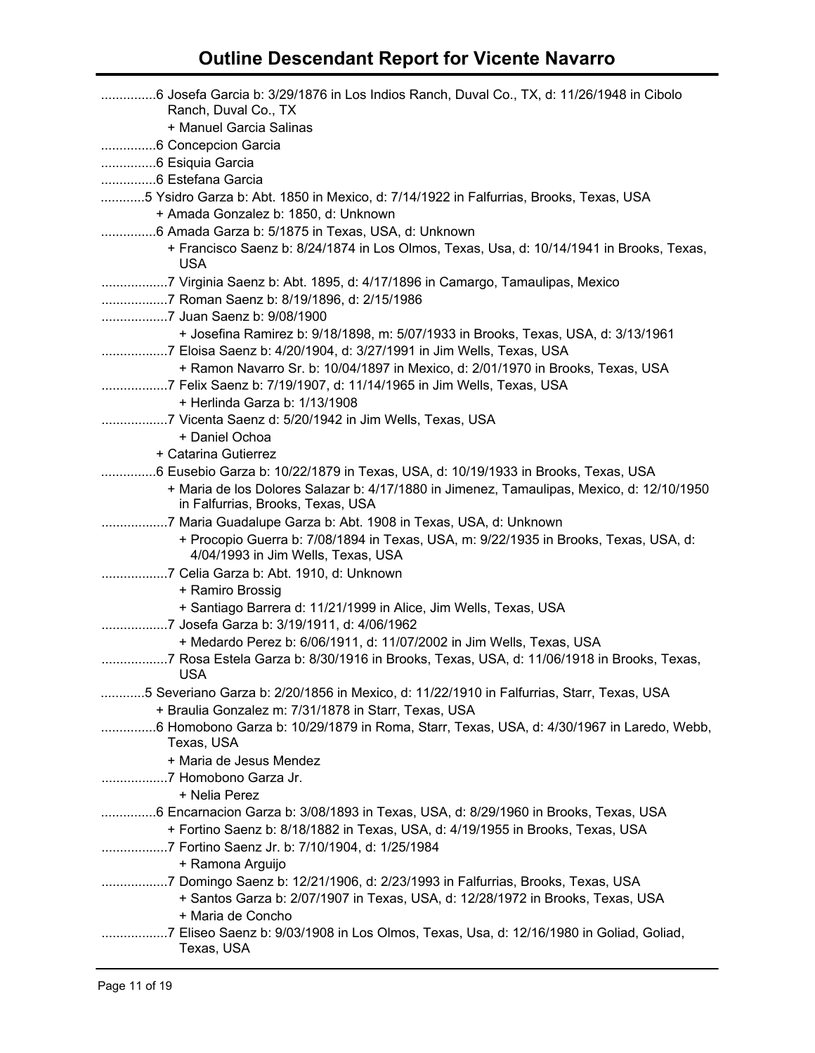| 6 Josefa Garcia b: 3/29/1876 in Los Indios Ranch, Duval Co., TX, d: 11/26/1948 in Cibolo<br>Ranch, Duval Co., TX |
|------------------------------------------------------------------------------------------------------------------|
| + Manuel Garcia Salinas                                                                                          |
|                                                                                                                  |
|                                                                                                                  |
|                                                                                                                  |
| 5 Ysidro Garza b: Abt. 1850 in Mexico, d: 7/14/1922 in Falfurrias, Brooks, Texas, USA                            |
| + Amada Gonzalez b: 1850, d: Unknown                                                                             |
| 6 Amada Garza b: 5/1875 in Texas, USA, d: Unknown                                                                |
| + Francisco Saenz b: 8/24/1874 in Los Olmos, Texas, Usa, d: 10/14/1941 in Brooks, Texas,<br><b>USA</b>           |
| 7 Virginia Saenz b: Abt. 1895, d: 4/17/1896 in Camargo, Tamaulipas, Mexico                                       |
|                                                                                                                  |
| 7 Juan Saenz b: 9/08/1900                                                                                        |
| + Josefina Ramirez b: 9/18/1898, m: 5/07/1933 in Brooks, Texas, USA, d: 3/13/1961                                |
| 7 Eloisa Saenz b: 4/20/1904, d: 3/27/1991 in Jim Wells, Texas, USA                                               |
| + Ramon Navarro Sr. b: 10/04/1897 in Mexico, d: 2/01/1970 in Brooks, Texas, USA                                  |
|                                                                                                                  |
| + Herlinda Garza b: 1/13/1908                                                                                    |
| 7 Vicenta Saenz d: 5/20/1942 in Jim Wells, Texas, USA                                                            |
| + Daniel Ochoa                                                                                                   |
| + Catarina Gutierrez                                                                                             |
| 6 Eusebio Garza b: 10/22/1879 in Texas, USA, d: 10/19/1933 in Brooks, Texas, USA                                 |
| + Maria de los Dolores Salazar b: 4/17/1880 in Jimenez, Tamaulipas, Mexico, d: 12/10/1950                        |
| in Falfurrias, Brooks, Texas, USA                                                                                |
| 7 Maria Guadalupe Garza b: Abt. 1908 in Texas, USA, d: Unknown                                                   |
| + Procopio Guerra b: 7/08/1894 in Texas, USA, m: 9/22/1935 in Brooks, Texas, USA, d:                             |
| 4/04/1993 in Jim Wells, Texas, USA                                                                               |
| 7 Celia Garza b: Abt. 1910, d: Unknown                                                                           |
| + Ramiro Brossig                                                                                                 |
| + Santiago Barrera d: 11/21/1999 in Alice, Jim Wells, Texas, USA                                                 |
| 7 Josefa Garza b: 3/19/1911, d: 4/06/1962                                                                        |
| + Medardo Perez b: 6/06/1911, d: 11/07/2002 in Jim Wells, Texas, USA                                             |
| 7 Rosa Estela Garza b: 8/30/1916 in Brooks, Texas, USA, d: 11/06/1918 in Brooks, Texas,                          |
| <b>USA</b>                                                                                                       |
| 5 Severiano Garza b: 2/20/1856 in Mexico, d: 11/22/1910 in Falfurrias, Starr, Texas, USA                         |
| + Braulia Gonzalez m: 7/31/1878 in Starr, Texas, USA                                                             |
| 6 Homobono Garza b: 10/29/1879 in Roma, Starr, Texas, USA, d: 4/30/1967 in Laredo, Webb,                         |
| Texas, USA                                                                                                       |
| + Maria de Jesus Mendez                                                                                          |
|                                                                                                                  |
| + Nelia Perez                                                                                                    |
| 6 Encarnacion Garza b: 3/08/1893 in Texas, USA, d: 8/29/1960 in Brooks, Texas, USA                               |
| + Fortino Saenz b: 8/18/1882 in Texas, USA, d: 4/19/1955 in Brooks, Texas, USA                                   |
| 7 Fortino Saenz Jr. b: 7/10/1904, d: 1/25/1984                                                                   |
| + Ramona Arguijo                                                                                                 |
| 7 Domingo Saenz b: 12/21/1906, d: 2/23/1993 in Falfurrias, Brooks, Texas, USA                                    |
| + Santos Garza b: 2/07/1907 in Texas, USA, d: 12/28/1972 in Brooks, Texas, USA                                   |
| + Maria de Concho                                                                                                |
| 7 Eliseo Saenz b: 9/03/1908 in Los Olmos, Texas, Usa, d: 12/16/1980 in Goliad, Goliad,                           |
| Texas, USA                                                                                                       |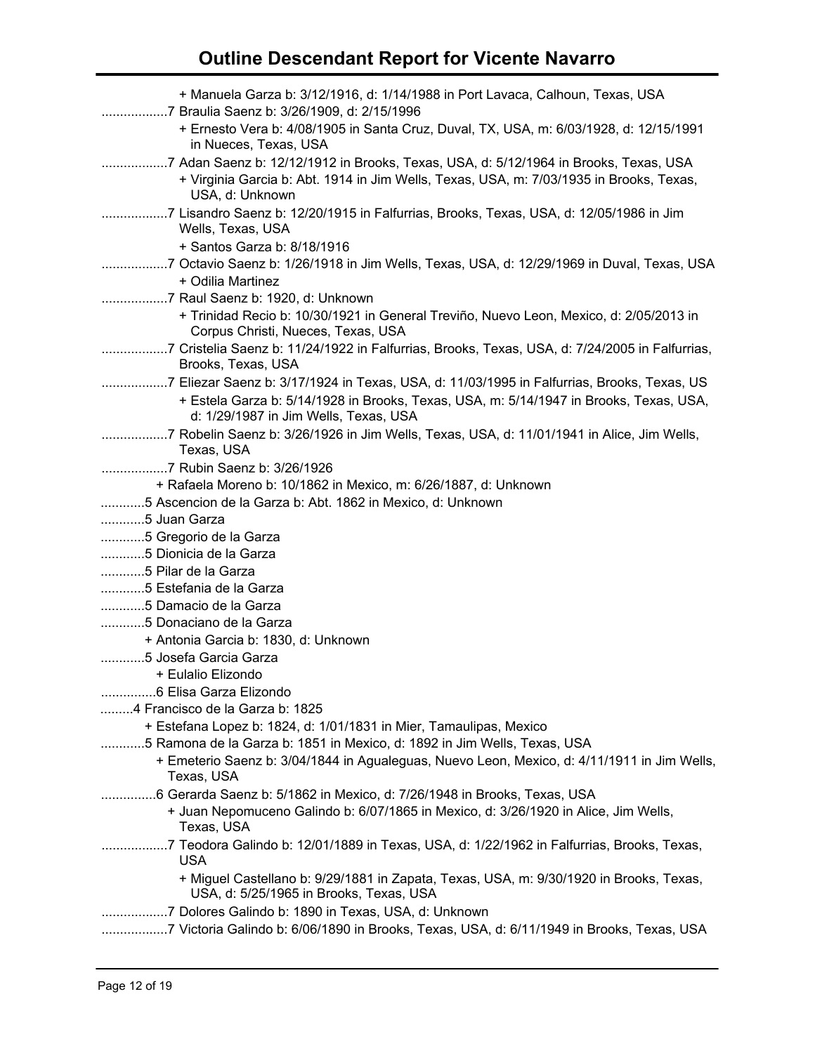| + Manuela Garza b: 3/12/1916, d: 1/14/1988 in Port Lavaca, Calhoun, Texas, USA                                                                                                                     |
|----------------------------------------------------------------------------------------------------------------------------------------------------------------------------------------------------|
| + Ernesto Vera b: 4/08/1905 in Santa Cruz, Duval, TX, USA, m: 6/03/1928, d: 12/15/1991<br>in Nueces, Texas, USA                                                                                    |
| 7 Adan Saenz b: 12/12/1912 in Brooks, Texas, USA, d: 5/12/1964 in Brooks, Texas, USA<br>+ Virginia Garcia b: Abt. 1914 in Jim Wells, Texas, USA, m: 7/03/1935 in Brooks, Texas,<br>USA, d: Unknown |
| 7 Lisandro Saenz b: 12/20/1915 in Falfurrias, Brooks, Texas, USA, d: 12/05/1986 in Jim<br>Wells, Texas, USA                                                                                        |
| + Santos Garza b: 8/18/1916                                                                                                                                                                        |
| + Odilia Martinez                                                                                                                                                                                  |
|                                                                                                                                                                                                    |
| + Trinidad Recio b: 10/30/1921 in General Treviño, Nuevo Leon, Mexico, d: 2/05/2013 in<br>Corpus Christi, Nueces, Texas, USA                                                                       |
| 7 Cristelia Saenz b: 11/24/1922 in Falfurrias, Brooks, Texas, USA, d: 7/24/2005 in Falfurrias,<br>Brooks, Texas, USA                                                                               |
| 7 Eliezar Saenz b: 3/17/1924 in Texas, USA, d: 11/03/1995 in Falfurrias, Brooks, Texas, US                                                                                                         |
| + Estela Garza b: 5/14/1928 in Brooks, Texas, USA, m: 5/14/1947 in Brooks, Texas, USA,<br>d: 1/29/1987 in Jim Wells, Texas, USA                                                                    |
| 7 Robelin Saenz b: 3/26/1926 in Jim Wells, Texas, USA, d: 11/01/1941 in Alice, Jim Wells,                                                                                                          |
| Texas, USA                                                                                                                                                                                         |
| 7 Rubin Saenz b: 3/26/1926                                                                                                                                                                         |
| + Rafaela Moreno b: 10/1862 in Mexico, m: 6/26/1887, d: Unknown                                                                                                                                    |
| 5 Ascencion de la Garza b: Abt. 1862 in Mexico, d: Unknown                                                                                                                                         |
| 5 Juan Garza                                                                                                                                                                                       |
| 5 Gregorio de la Garza                                                                                                                                                                             |
| 5 Dionicia de la Garza                                                                                                                                                                             |
| 5 Pilar de la Garza                                                                                                                                                                                |
| 5 Estefania de la Garza                                                                                                                                                                            |
| 5 Damacio de la Garza                                                                                                                                                                              |
| 5 Donaciano de la Garza                                                                                                                                                                            |
| + Antonia Garcia b: 1830, d: Unknown                                                                                                                                                               |
| 5 Josefa Garcia Garza                                                                                                                                                                              |
| + Eulalio Elizondo                                                                                                                                                                                 |
|                                                                                                                                                                                                    |
| 4 Francisco de la Garza b: 1825                                                                                                                                                                    |
| + Estefana Lopez b: 1824, d: 1/01/1831 in Mier, Tamaulipas, Mexico                                                                                                                                 |
| 5 Ramona de la Garza b: 1851 in Mexico, d: 1892 in Jim Wells, Texas, USA                                                                                                                           |
| + Emeterio Saenz b: 3/04/1844 in Agualeguas, Nuevo Leon, Mexico, d: 4/11/1911 in Jim Wells,<br>Texas, USA                                                                                          |
| 6 Gerarda Saenz b: 5/1862 in Mexico, d: 7/26/1948 in Brooks, Texas, USA                                                                                                                            |
| + Juan Nepomuceno Galindo b: 6/07/1865 in Mexico, d: 3/26/1920 in Alice, Jim Wells,<br>Texas, USA                                                                                                  |
| 7 Teodora Galindo b: 12/01/1889 in Texas, USA, d: 1/22/1962 in Falfurrias, Brooks, Texas,<br><b>USA</b>                                                                                            |
| + Miguel Castellano b: 9/29/1881 in Zapata, Texas, USA, m: 9/30/1920 in Brooks, Texas,<br>USA, d: 5/25/1965 in Brooks, Texas, USA                                                                  |
| 7 Dolores Galindo b: 1890 in Texas, USA, d: Unknown                                                                                                                                                |
| 7 Victoria Galindo b: 6/06/1890 in Brooks, Texas, USA, d: 6/11/1949 in Brooks, Texas, USA                                                                                                          |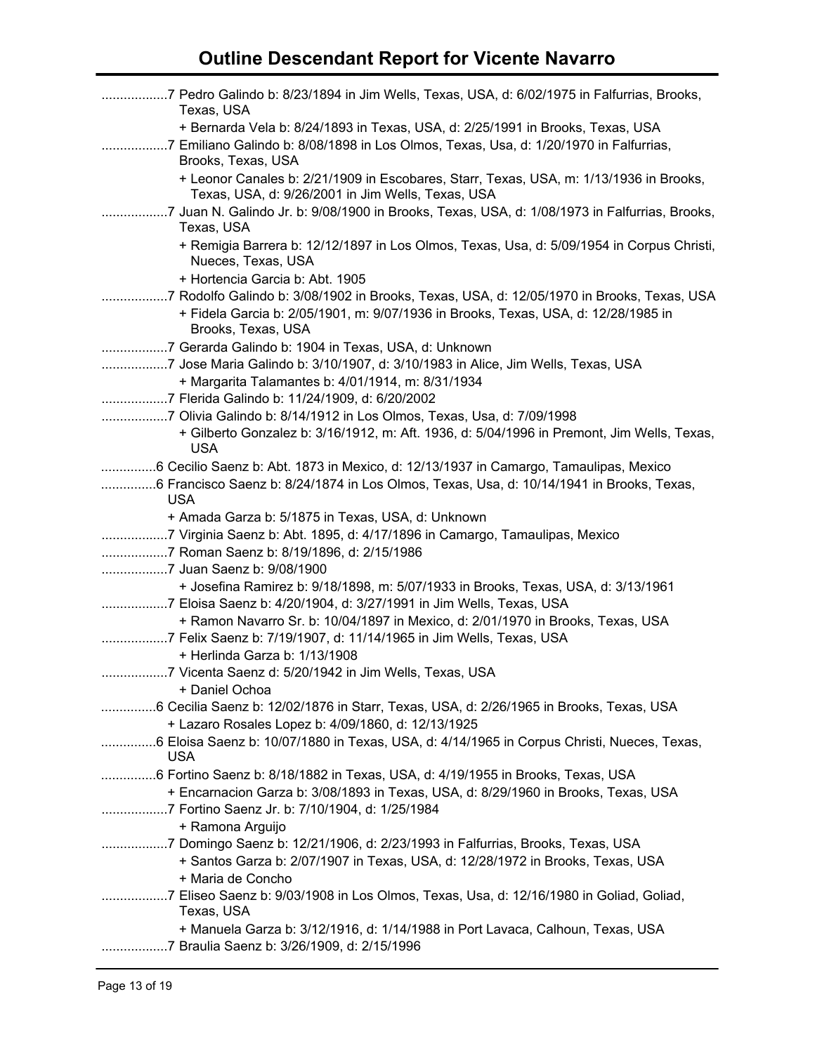| Texas, USA                                                                                                                                                                                    |
|-----------------------------------------------------------------------------------------------------------------------------------------------------------------------------------------------|
| + Bernarda Vela b: 8/24/1893 in Texas, USA, d: 2/25/1991 in Brooks, Texas, USA<br>7 Emiliano Galindo b: 8/08/1898 in Los Olmos, Texas, Usa, d: 1/20/1970 in Falfurrias,<br>Brooks, Texas, USA |
| + Leonor Canales b: 2/21/1909 in Escobares, Starr, Texas, USA, m: 1/13/1936 in Brooks,<br>Texas, USA, d: 9/26/2001 in Jim Wells, Texas, USA                                                   |
| 7 Juan N. Galindo Jr. b: 9/08/1900 in Brooks, Texas, USA, d: 1/08/1973 in Falfurrias, Brooks,<br>Texas, USA                                                                                   |
| + Remigia Barrera b: 12/12/1897 in Los Olmos, Texas, Usa, d: 5/09/1954 in Corpus Christi,<br>Nueces, Texas, USA                                                                               |
| + Hortencia Garcia b: Abt. 1905                                                                                                                                                               |
| 7 Rodolfo Galindo b: 3/08/1902 in Brooks, Texas, USA, d: 12/05/1970 in Brooks, Texas, USA                                                                                                     |
| + Fidela Garcia b: 2/05/1901, m: 9/07/1936 in Brooks, Texas, USA, d: 12/28/1985 in<br>Brooks, Texas, USA                                                                                      |
| 7 Gerarda Galindo b: 1904 in Texas, USA, d: Unknown                                                                                                                                           |
| 7 Jose Maria Galindo b: 3/10/1907, d: 3/10/1983 in Alice, Jim Wells, Texas, USA                                                                                                               |
| + Margarita Talamantes b: 4/01/1914, m: 8/31/1934                                                                                                                                             |
| 7 Flerida Galindo b: 11/24/1909, d: 6/20/2002                                                                                                                                                 |
| 7 Olivia Galindo b: 8/14/1912 in Los Olmos, Texas, Usa, d: 7/09/1998                                                                                                                          |
| + Gilberto Gonzalez b: 3/16/1912, m: Aft. 1936, d: 5/04/1996 in Premont, Jim Wells, Texas,<br><b>USA</b>                                                                                      |
| 6 Cecilio Saenz b: Abt. 1873 in Mexico, d: 12/13/1937 in Camargo, Tamaulipas, Mexico                                                                                                          |
| 6 Francisco Saenz b: 8/24/1874 in Los Olmos, Texas, Usa, d: 10/14/1941 in Brooks, Texas,<br><b>USA</b>                                                                                        |
| + Amada Garza b: 5/1875 in Texas, USA, d: Unknown                                                                                                                                             |
| 7 Virginia Saenz b: Abt. 1895, d: 4/17/1896 in Camargo, Tamaulipas, Mexico                                                                                                                    |
| 7 Roman Saenz b: 8/19/1896, d: 2/15/1986                                                                                                                                                      |
| 7 Juan Saenz b: 9/08/1900                                                                                                                                                                     |
| + Josefina Ramirez b: 9/18/1898, m: 5/07/1933 in Brooks, Texas, USA, d: 3/13/1961                                                                                                             |
| 7 Eloisa Saenz b: 4/20/1904, d: 3/27/1991 in Jim Wells, Texas, USA                                                                                                                            |
| + Ramon Navarro Sr. b: 10/04/1897 in Mexico, d: 2/01/1970 in Brooks, Texas, USA                                                                                                               |
|                                                                                                                                                                                               |
| + Herlinda Garza b: 1/13/1908                                                                                                                                                                 |
| 7 Vicenta Saenz d: 5/20/1942 in Jim Wells, Texas, USA                                                                                                                                         |
| + Daniel Ochoa                                                                                                                                                                                |
| 6 Cecilia Saenz b: 12/02/1876 in Starr, Texas, USA, d: 2/26/1965 in Brooks, Texas, USA                                                                                                        |
| + Lazaro Rosales Lopez b: 4/09/1860, d: 12/13/1925                                                                                                                                            |
| 6 Eloisa Saenz b: 10/07/1880 in Texas, USA, d: 4/14/1965 in Corpus Christi, Nueces, Texas,<br><b>USA</b>                                                                                      |
| 6 Fortino Saenz b: 8/18/1882 in Texas, USA, d: 4/19/1955 in Brooks, Texas, USA                                                                                                                |
| + Encarnacion Garza b: 3/08/1893 in Texas, USA, d: 8/29/1960 in Brooks, Texas, USA                                                                                                            |
| 7 Fortino Saenz Jr. b: 7/10/1904, d: 1/25/1984                                                                                                                                                |
| + Ramona Arguijo                                                                                                                                                                              |
| 7 Domingo Saenz b: 12/21/1906, d: 2/23/1993 in Falfurrias, Brooks, Texas, USA                                                                                                                 |
| + Santos Garza b: 2/07/1907 in Texas, USA, d: 12/28/1972 in Brooks, Texas, USA                                                                                                                |
| + Maria de Concho                                                                                                                                                                             |
| 7 Eliseo Saenz b: 9/03/1908 in Los Olmos, Texas, Usa, d: 12/16/1980 in Goliad, Goliad,<br>Texas, USA                                                                                          |
| + Manuela Garza b: 3/12/1916, d: 1/14/1988 in Port Lavaca, Calhoun, Texas, USA                                                                                                                |
| 7 Braulia Saenz b: 3/26/1909, d: 2/15/1996                                                                                                                                                    |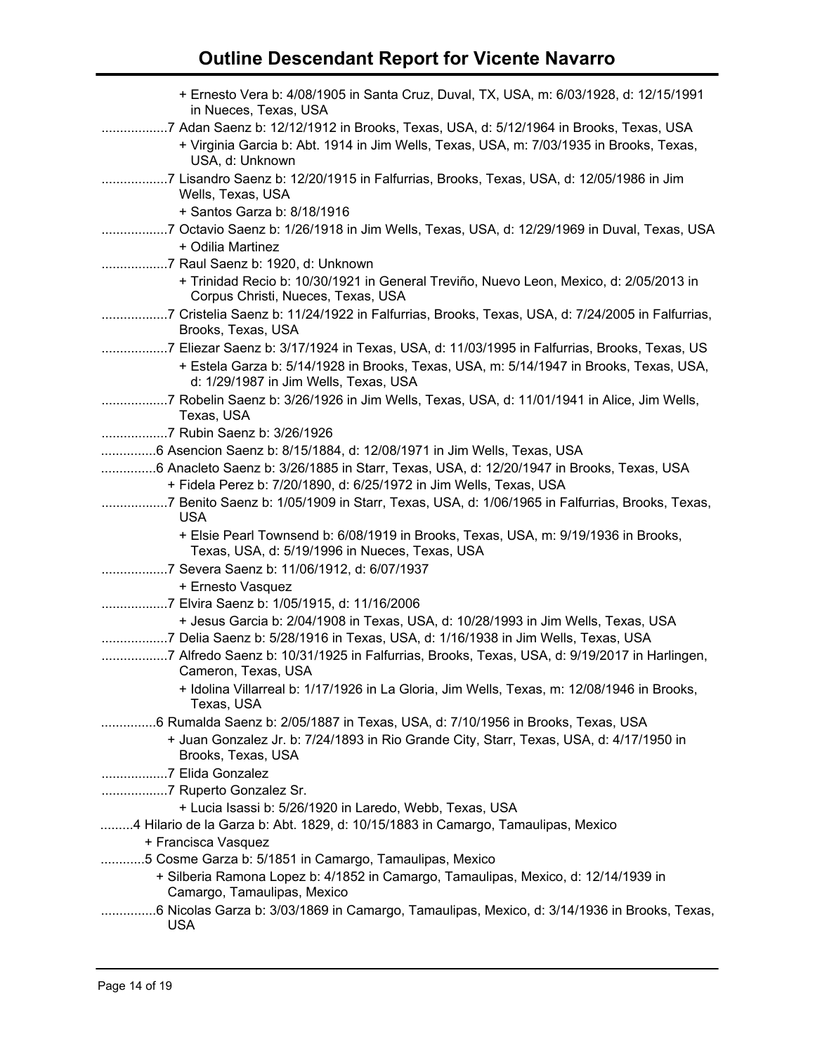| + Ernesto Vera b: 4/08/1905 in Santa Cruz, Duval, TX, USA, m: 6/03/1928, d: 12/15/1991<br>in Nueces, Texas, USA                                                                                                               |  |
|-------------------------------------------------------------------------------------------------------------------------------------------------------------------------------------------------------------------------------|--|
| 7 Adan Saenz b: 12/12/1912 in Brooks, Texas, USA, d: 5/12/1964 in Brooks, Texas, USA<br>+ Virginia Garcia b: Abt. 1914 in Jim Wells, Texas, USA, m: 7/03/1935 in Brooks, Texas,<br>USA, d: Unknown                            |  |
| 7 Lisandro Saenz b: 12/20/1915 in Falfurrias, Brooks, Texas, USA, d: 12/05/1986 in Jim<br>Wells, Texas, USA<br>+ Santos Garza b: 8/18/1916                                                                                    |  |
| 7 Octavio Saenz b: 1/26/1918 in Jim Wells, Texas, USA, d: 12/29/1969 in Duval, Texas, USA<br>+ Odilia Martinez                                                                                                                |  |
| 7 Raul Saenz b: 1920, d: Unknown<br>+ Trinidad Recio b: 10/30/1921 in General Treviño, Nuevo Leon, Mexico, d: 2/05/2013 in<br>Corpus Christi, Nueces, Texas, USA                                                              |  |
| 7 Cristelia Saenz b: 11/24/1922 in Falfurrias, Brooks, Texas, USA, d: 7/24/2005 in Falfurrias,<br>Brooks, Texas, USA                                                                                                          |  |
| 7 Eliezar Saenz b: 3/17/1924 in Texas, USA, d: 11/03/1995 in Falfurrias, Brooks, Texas, US<br>+ Estela Garza b: 5/14/1928 in Brooks, Texas, USA, m: 5/14/1947 in Brooks, Texas, USA,<br>d: 1/29/1987 in Jim Wells, Texas, USA |  |
| 7 Robelin Saenz b: 3/26/1926 in Jim Wells, Texas, USA, d: 11/01/1941 in Alice, Jim Wells,<br>Texas, USA                                                                                                                       |  |
| 7 Rubin Saenz b: 3/26/1926                                                                                                                                                                                                    |  |
| 6 Asencion Saenz b: 8/15/1884, d: 12/08/1971 in Jim Wells, Texas, USA                                                                                                                                                         |  |
| 6 Anacleto Saenz b: 3/26/1885 in Starr, Texas, USA, d: 12/20/1947 in Brooks, Texas, USA                                                                                                                                       |  |
| + Fidela Perez b: 7/20/1890, d: 6/25/1972 in Jim Wells, Texas, USA                                                                                                                                                            |  |
| 7 Benito Saenz b: 1/05/1909 in Starr, Texas, USA, d: 1/06/1965 in Falfurrias, Brooks, Texas,<br><b>USA</b>                                                                                                                    |  |
| + Elsie Pearl Townsend b: 6/08/1919 in Brooks, Texas, USA, m: 9/19/1936 in Brooks,<br>Texas, USA, d: 5/19/1996 in Nueces, Texas, USA                                                                                          |  |
|                                                                                                                                                                                                                               |  |
| + Ernesto Vasquez                                                                                                                                                                                                             |  |
| 7 Elvira Saenz b: 1/05/1915, d: 11/16/2006                                                                                                                                                                                    |  |
| + Jesus Garcia b: 2/04/1908 in Texas, USA, d: 10/28/1993 in Jim Wells, Texas, USA<br>7 Delia Saenz b: 5/28/1916 in Texas, USA, d: 1/16/1938 in Jim Wells, Texas, USA                                                          |  |
| 7 Alfredo Saenz b: 10/31/1925 in Falfurrias, Brooks, Texas, USA, d: 9/19/2017 in Harlingen,<br>Cameron, Texas, USA                                                                                                            |  |
| + Idolina Villarreal b: 1/17/1926 in La Gloria, Jim Wells, Texas, m: 12/08/1946 in Brooks,<br>Texas, USA                                                                                                                      |  |
| 6 Rumalda Saenz b: 2/05/1887 in Texas, USA, d: 7/10/1956 in Brooks, Texas, USA                                                                                                                                                |  |
| + Juan Gonzalez Jr. b: 7/24/1893 in Rio Grande City, Starr, Texas, USA, d: 4/17/1950 in<br>Brooks, Texas, USA                                                                                                                 |  |
| 7 Elida Gonzalez                                                                                                                                                                                                              |  |
| 7 Ruperto Gonzalez Sr.                                                                                                                                                                                                        |  |
| + Lucia Isassi b: 5/26/1920 in Laredo, Webb, Texas, USA                                                                                                                                                                       |  |
| 4 Hilario de la Garza b: Abt. 1829, d: 10/15/1883 in Camargo, Tamaulipas, Mexico                                                                                                                                              |  |
| + Francisca Vasquez                                                                                                                                                                                                           |  |
| 5 Cosme Garza b: 5/1851 in Camargo, Tamaulipas, Mexico                                                                                                                                                                        |  |
| + Silberia Ramona Lopez b: 4/1852 in Camargo, Tamaulipas, Mexico, d: 12/14/1939 in<br>Camargo, Tamaulipas, Mexico                                                                                                             |  |
| .6 Nicolas Garza b: 3/03/1869 in Camargo, Tamaulipas, Mexico, d: 3/14/1936 in Brooks, Texas,<br>.<br><b>USA</b>                                                                                                               |  |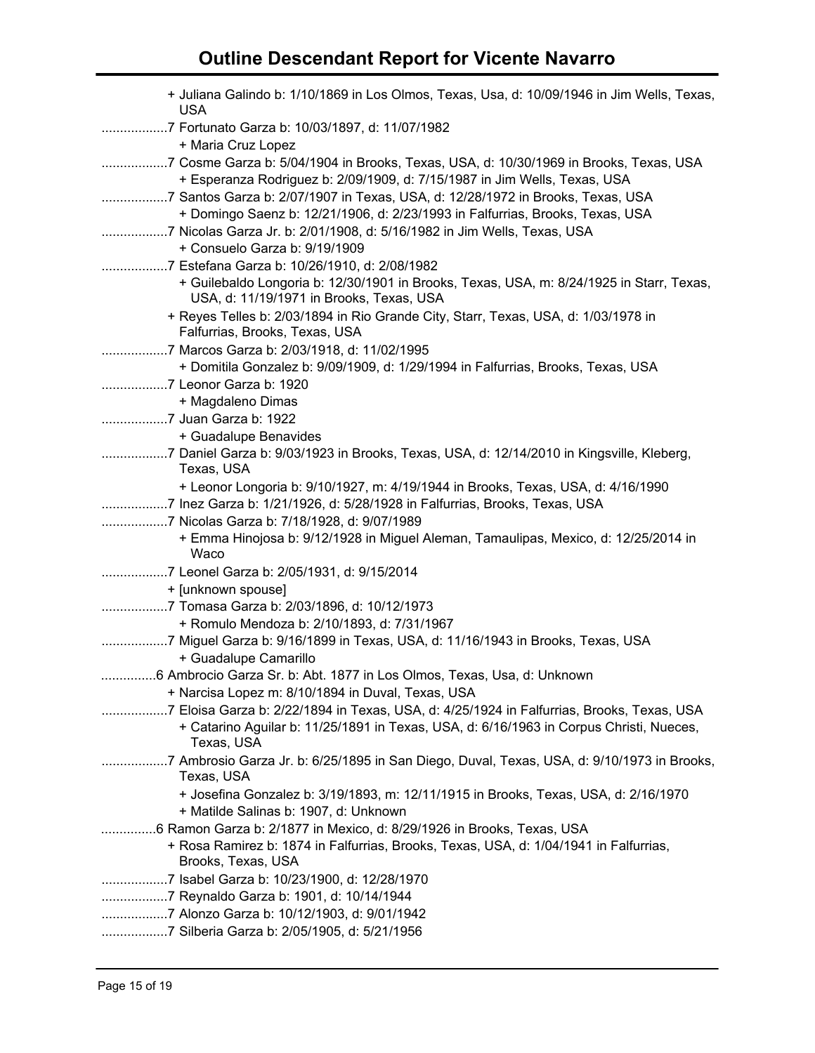| + Juliana Galindo b: 1/10/1869 in Los Olmos, Texas, Usa, d: 10/09/1946 in Jim Wells, Texas,<br><b>USA</b>                            |
|--------------------------------------------------------------------------------------------------------------------------------------|
| 7 Fortunato Garza b: 10/03/1897, d: 11/07/1982                                                                                       |
| + Maria Cruz Lopez                                                                                                                   |
| 7 Cosme Garza b: 5/04/1904 in Brooks, Texas, USA, d: 10/30/1969 in Brooks, Texas, USA                                                |
| + Esperanza Rodriguez b: 2/09/1909, d: 7/15/1987 in Jim Wells, Texas, USA                                                            |
| 7 Santos Garza b: 2/07/1907 in Texas, USA, d: 12/28/1972 in Brooks, Texas, USA                                                       |
| + Domingo Saenz b: 12/21/1906, d: 2/23/1993 in Falfurrias, Brooks, Texas, USA                                                        |
| 7 Nicolas Garza Jr. b: 2/01/1908, d: 5/16/1982 in Jim Wells, Texas, USA                                                              |
| + Consuelo Garza b: 9/19/1909                                                                                                        |
| 7 Estefana Garza b: 10/26/1910, d: 2/08/1982                                                                                         |
| + Guilebaldo Longoria b: 12/30/1901 in Brooks, Texas, USA, m: 8/24/1925 in Starr, Texas,<br>USA, d: 11/19/1971 in Brooks, Texas, USA |
| + Reyes Telles b: 2/03/1894 in Rio Grande City, Starr, Texas, USA, d: 1/03/1978 in<br>Falfurrias, Brooks, Texas, USA                 |
| 7 Marcos Garza b: 2/03/1918, d: 11/02/1995                                                                                           |
| + Domitila Gonzalez b: 9/09/1909, d: 1/29/1994 in Falfurrias, Brooks, Texas, USA                                                     |
| 7 Leonor Garza b: 1920                                                                                                               |
| + Magdaleno Dimas                                                                                                                    |
| 7 Juan Garza b: 1922                                                                                                                 |
| + Guadalupe Benavides                                                                                                                |
| 7 Daniel Garza b: 9/03/1923 in Brooks, Texas, USA, d: 12/14/2010 in Kingsville, Kleberg,<br>Texas, USA                               |
| + Leonor Longoria b: 9/10/1927, m: 4/19/1944 in Brooks, Texas, USA, d: 4/16/1990                                                     |
| 7 Inez Garza b: 1/21/1926, d: 5/28/1928 in Falfurrias, Brooks, Texas, USA                                                            |
| 7 Nicolas Garza b: 7/18/1928, d: 9/07/1989                                                                                           |
| + Emma Hinojosa b: 9/12/1928 in Miguel Aleman, Tamaulipas, Mexico, d: 12/25/2014 in<br>Waco                                          |
| 7 Leonel Garza b: 2/05/1931, d: 9/15/2014                                                                                            |
| + [unknown spouse]                                                                                                                   |
| 7 Tomasa Garza b: 2/03/1896, d: 10/12/1973                                                                                           |
| + Romulo Mendoza b: 2/10/1893, d: 7/31/1967                                                                                          |
| 7 Miguel Garza b: 9/16/1899 in Texas, USA, d: 11/16/1943 in Brooks, Texas, USA                                                       |
| + Guadalupe Camarillo                                                                                                                |
| 6 Ambrocio Garza Sr. b: Abt. 1877 in Los Olmos, Texas, Usa, d: Unknown                                                               |
| + Narcisa Lopez m: 8/10/1894 in Duval, Texas, USA                                                                                    |
| 7 Eloisa Garza b: 2/22/1894 in Texas, USA, d: 4/25/1924 in Falfurrias, Brooks, Texas, USA                                            |
| + Catarino Aguilar b: 11/25/1891 in Texas, USA, d: 6/16/1963 in Corpus Christi, Nueces,<br>Texas, USA                                |
| 7 Ambrosio Garza Jr. b: 6/25/1895 in San Diego, Duval, Texas, USA, d: 9/10/1973 in Brooks,<br>Texas, USA                             |
| + Josefina Gonzalez b: 3/19/1893, m: 12/11/1915 in Brooks, Texas, USA, d: 2/16/1970                                                  |
| + Matilde Salinas b: 1907, d: Unknown                                                                                                |
| 6 Ramon Garza b: 2/1877 in Mexico, d: 8/29/1926 in Brooks, Texas, USA                                                                |
| + Rosa Ramirez b: 1874 in Falfurrias, Brooks, Texas, USA, d: 1/04/1941 in Falfurrias,                                                |
| Brooks, Texas, USA                                                                                                                   |
| 7 Isabel Garza b: 10/23/1900, d: 12/28/1970                                                                                          |
|                                                                                                                                      |
| 7 Alonzo Garza b: 10/12/1903, d: 9/01/1942                                                                                           |
|                                                                                                                                      |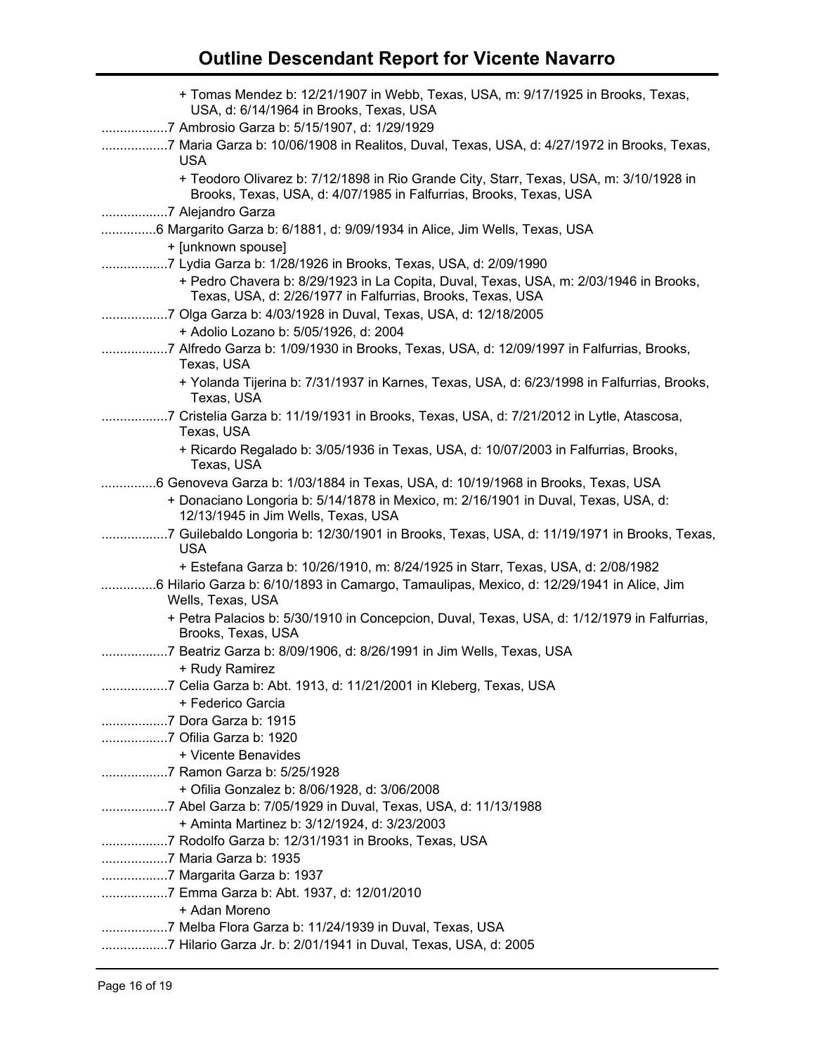| + Tomas Mendez b: 12/21/1907 in Webb, Texas, USA, m: 9/17/1925 in Brooks, Texas,                                                                                                                                      |
|-----------------------------------------------------------------------------------------------------------------------------------------------------------------------------------------------------------------------|
| USA, d: 6/14/1964 in Brooks, Texas, USA                                                                                                                                                                               |
| 7 Ambrosio Garza b: 5/15/1907, d: 1/29/1929                                                                                                                                                                           |
| 7 Maria Garza b: 10/06/1908 in Realitos, Duval, Texas, USA, d: 4/27/1972 in Brooks, Texas,<br><b>USA</b>                                                                                                              |
| + Teodoro Olivarez b: 7/12/1898 in Rio Grande City, Starr, Texas, USA, m: 3/10/1928 in<br>Brooks, Texas, USA, d: 4/07/1985 in Falfurrias, Brooks, Texas, USA                                                          |
| 7 Alejandro Garza                                                                                                                                                                                                     |
| 6 Margarito Garza b: 6/1881, d: 9/09/1934 in Alice, Jim Wells, Texas, USA                                                                                                                                             |
| + [unknown spouse]                                                                                                                                                                                                    |
| 7 Lydia Garza b: 1/28/1926 in Brooks, Texas, USA, d: 2/09/1990<br>+ Pedro Chavera b: 8/29/1923 in La Copita, Duval, Texas, USA, m: 2/03/1946 in Brooks,<br>Texas, USA, d: 2/26/1977 in Falfurrias, Brooks, Texas, USA |
| 7 Olga Garza b: 4/03/1928 in Duval, Texas, USA, d: 12/18/2005                                                                                                                                                         |
| + Adolio Lozano b: 5/05/1926, d: 2004                                                                                                                                                                                 |
| 7 Alfredo Garza b: 1/09/1930 in Brooks, Texas, USA, d: 12/09/1997 in Falfurrias, Brooks,<br>Texas, USA                                                                                                                |
| + Yolanda Tijerina b: 7/31/1937 in Karnes, Texas, USA, d: 6/23/1998 in Falfurrias, Brooks,<br>Texas, USA                                                                                                              |
| 7 Cristelia Garza b: 11/19/1931 in Brooks, Texas, USA, d: 7/21/2012 in Lytle, Atascosa,<br>Texas, USA                                                                                                                 |
| + Ricardo Regalado b: 3/05/1936 in Texas, USA, d: 10/07/2003 in Falfurrias, Brooks,<br>Texas, USA                                                                                                                     |
| 6 Genoveva Garza b: 1/03/1884 in Texas, USA, d: 10/19/1968 in Brooks, Texas, USA                                                                                                                                      |
| + Donaciano Longoria b: 5/14/1878 in Mexico, m: 2/16/1901 in Duval, Texas, USA, d:<br>12/13/1945 in Jim Wells, Texas, USA                                                                                             |
| 7 Guilebaldo Longoria b: 12/30/1901 in Brooks, Texas, USA, d: 11/19/1971 in Brooks, Texas,<br><b>USA</b>                                                                                                              |
| + Estefana Garza b: 10/26/1910, m: 8/24/1925 in Starr, Texas, USA, d: 2/08/1982                                                                                                                                       |
| 6 Hilario Garza b: 6/10/1893 in Camargo, Tamaulipas, Mexico, d: 12/29/1941 in Alice, Jim                                                                                                                              |
| Wells, Texas, USA                                                                                                                                                                                                     |
| + Petra Palacios b: 5/30/1910 in Concepcion, Duval, Texas, USA, d: 1/12/1979 in Falfurrias,<br>Brooks, Texas, USA                                                                                                     |
| 7 Beatriz Garza b: 8/09/1906, d: 8/26/1991 in Jim Wells, Texas, USA                                                                                                                                                   |
| + Rudy Ramirez                                                                                                                                                                                                        |
| 7 Celia Garza b: Abt. 1913, d: 11/21/2001 in Kleberg, Texas, USA<br>+ Federico Garcia                                                                                                                                 |
| 7 Dora Garza b: 1915                                                                                                                                                                                                  |
| 7 Ofilia Garza b: 1920                                                                                                                                                                                                |
| + Vicente Benavides                                                                                                                                                                                                   |
| 7 Ramon Garza b: 5/25/1928                                                                                                                                                                                            |
| + Ofilia Gonzalez b: 8/06/1928, d: 3/06/2008                                                                                                                                                                          |
|                                                                                                                                                                                                                       |
| + Aminta Martinez b: 3/12/1924, d: 3/23/2003                                                                                                                                                                          |
|                                                                                                                                                                                                                       |
| 7 Maria Garza b: 1935                                                                                                                                                                                                 |
|                                                                                                                                                                                                                       |
| 7 Emma Garza b: Abt. 1937, d: 12/01/2010                                                                                                                                                                              |
| + Adan Moreno                                                                                                                                                                                                         |
| 7 Melba Flora Garza b: 11/24/1939 in Duval, Texas, USA                                                                                                                                                                |
| 7 Hilario Garza Jr. b: 2/01/1941 in Duval, Texas, USA, d: 2005                                                                                                                                                        |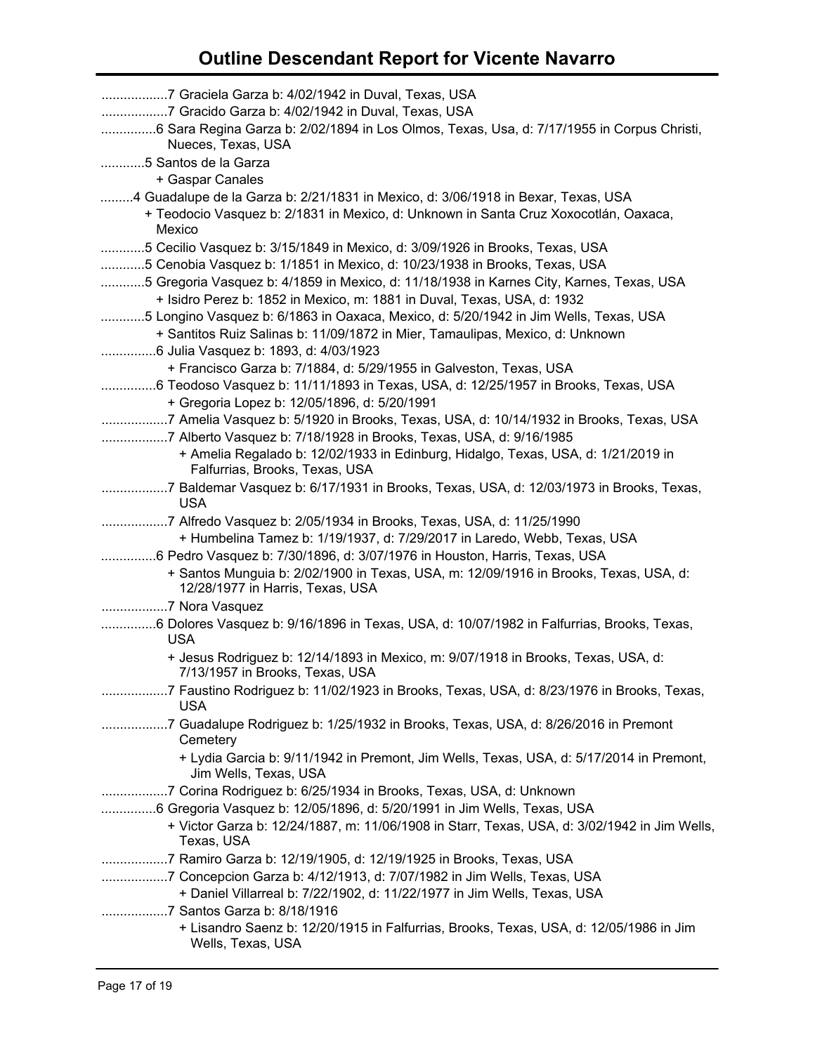| 7 Graciela Garza b: 4/02/1942 in Duval, Texas, USA<br>7 Gracido Garza b: 4/02/1942 in Duval, Texas, USA<br>6 Sara Regina Garza b: 2/02/1894 in Los Olmos, Texas, Usa, d: 7/17/1955 in Corpus Christi,<br>Nueces, Texas, USA                                                                                                                                                                                                                                                                                |
|------------------------------------------------------------------------------------------------------------------------------------------------------------------------------------------------------------------------------------------------------------------------------------------------------------------------------------------------------------------------------------------------------------------------------------------------------------------------------------------------------------|
| 5 Santos de la Garza<br>+ Gaspar Canales                                                                                                                                                                                                                                                                                                                                                                                                                                                                   |
| 4 Guadalupe de la Garza b: 2/21/1831 in Mexico, d: 3/06/1918 in Bexar, Texas, USA<br>+ Teodocio Vasquez b: 2/1831 in Mexico, d: Unknown in Santa Cruz Xoxocotlán, Oaxaca,<br>Mexico                                                                                                                                                                                                                                                                                                                        |
| 5 Cecilio Vasquez b: 3/15/1849 in Mexico, d: 3/09/1926 in Brooks, Texas, USA<br>5 Cenobia Vasquez b: 1/1851 in Mexico, d: 10/23/1938 in Brooks, Texas, USA<br>5 Gregoria Vasquez b: 4/1859 in Mexico, d: 11/18/1938 in Karnes City, Karnes, Texas, USA<br>+ Isidro Perez b: 1852 in Mexico, m: 1881 in Duval, Texas, USA, d: 1932<br>5 Longino Vasquez b: 6/1863 in Oaxaca, Mexico, d: 5/20/1942 in Jim Wells, Texas, USA<br>+ Santitos Ruiz Salinas b: 11/09/1872 in Mier, Tamaulipas, Mexico, d: Unknown |
| + Francisco Garza b: 7/1884, d: 5/29/1955 in Galveston, Texas, USA                                                                                                                                                                                                                                                                                                                                                                                                                                         |
| 6 Teodoso Vasquez b: 11/11/1893 in Texas, USA, d: 12/25/1957 in Brooks, Texas, USA<br>+ Gregoria Lopez b: 12/05/1896, d: 5/20/1991                                                                                                                                                                                                                                                                                                                                                                         |
| 7 Amelia Vasquez b: 5/1920 in Brooks, Texas, USA, d: 10/14/1932 in Brooks, Texas, USA<br>7 Alberto Vasquez b: 7/18/1928 in Brooks, Texas, USA, d: 9/16/1985<br>+ Amelia Regalado b: 12/02/1933 in Edinburg, Hidalgo, Texas, USA, d: 1/21/2019 in                                                                                                                                                                                                                                                           |
| Falfurrias, Brooks, Texas, USA                                                                                                                                                                                                                                                                                                                                                                                                                                                                             |
| 7 Baldemar Vasquez b: 6/17/1931 in Brooks, Texas, USA, d: 12/03/1973 in Brooks, Texas,<br><b>USA</b>                                                                                                                                                                                                                                                                                                                                                                                                       |
| 7 Alfredo Vasquez b: 2/05/1934 in Brooks, Texas, USA, d: 11/25/1990<br>+ Humbelina Tamez b: 1/19/1937, d: 7/29/2017 in Laredo, Webb, Texas, USA<br>6 Pedro Vasquez b: 7/30/1896, d: 3/07/1976 in Houston, Harris, Texas, USA<br>+ Santos Munguia b: 2/02/1900 in Texas, USA, m: 12/09/1916 in Brooks, Texas, USA, d:<br>12/28/1977 in Harris, Texas, USA                                                                                                                                                   |
| 7 Nora Vasquez                                                                                                                                                                                                                                                                                                                                                                                                                                                                                             |
| 6 Dolores Vasquez b: 9/16/1896 in Texas, USA, d: 10/07/1982 in Falfurrias, Brooks, Texas,<br><b>USA</b>                                                                                                                                                                                                                                                                                                                                                                                                    |
| + Jesus Rodriguez b: 12/14/1893 in Mexico, m: 9/07/1918 in Brooks, Texas, USA, d:<br>7/13/1957 in Brooks, Texas, USA                                                                                                                                                                                                                                                                                                                                                                                       |
| 7 Faustino Rodriguez b: 11/02/1923 in Brooks, Texas, USA, d: 8/23/1976 in Brooks, Texas,<br><b>USA</b>                                                                                                                                                                                                                                                                                                                                                                                                     |
| 7 Guadalupe Rodriguez b: 1/25/1932 in Brooks, Texas, USA, d: 8/26/2016 in Premont<br>Cemetery                                                                                                                                                                                                                                                                                                                                                                                                              |
| + Lydia Garcia b: 9/11/1942 in Premont, Jim Wells, Texas, USA, d: 5/17/2014 in Premont,<br>Jim Wells, Texas, USA                                                                                                                                                                                                                                                                                                                                                                                           |
| 7 Corina Rodriguez b: 6/25/1934 in Brooks, Texas, USA, d: Unknown                                                                                                                                                                                                                                                                                                                                                                                                                                          |
| 6 Gregoria Vasquez b: 12/05/1896, d: 5/20/1991 in Jim Wells, Texas, USA<br>+ Victor Garza b: 12/24/1887, m: 11/06/1908 in Starr, Texas, USA, d: 3/02/1942 in Jim Wells,<br>Texas, USA                                                                                                                                                                                                                                                                                                                      |
| 7 Ramiro Garza b: 12/19/1905, d: 12/19/1925 in Brooks, Texas, USA                                                                                                                                                                                                                                                                                                                                                                                                                                          |
| 7 Concepcion Garza b: 4/12/1913, d: 7/07/1982 in Jim Wells, Texas, USA                                                                                                                                                                                                                                                                                                                                                                                                                                     |
| + Daniel Villarreal b: 7/22/1902, d: 11/22/1977 in Jim Wells, Texas, USA<br>7 Santos Garza b: 8/18/1916                                                                                                                                                                                                                                                                                                                                                                                                    |
| + Lisandro Saenz b: 12/20/1915 in Falfurrias, Brooks, Texas, USA, d: 12/05/1986 in Jim<br>Wells, Texas, USA                                                                                                                                                                                                                                                                                                                                                                                                |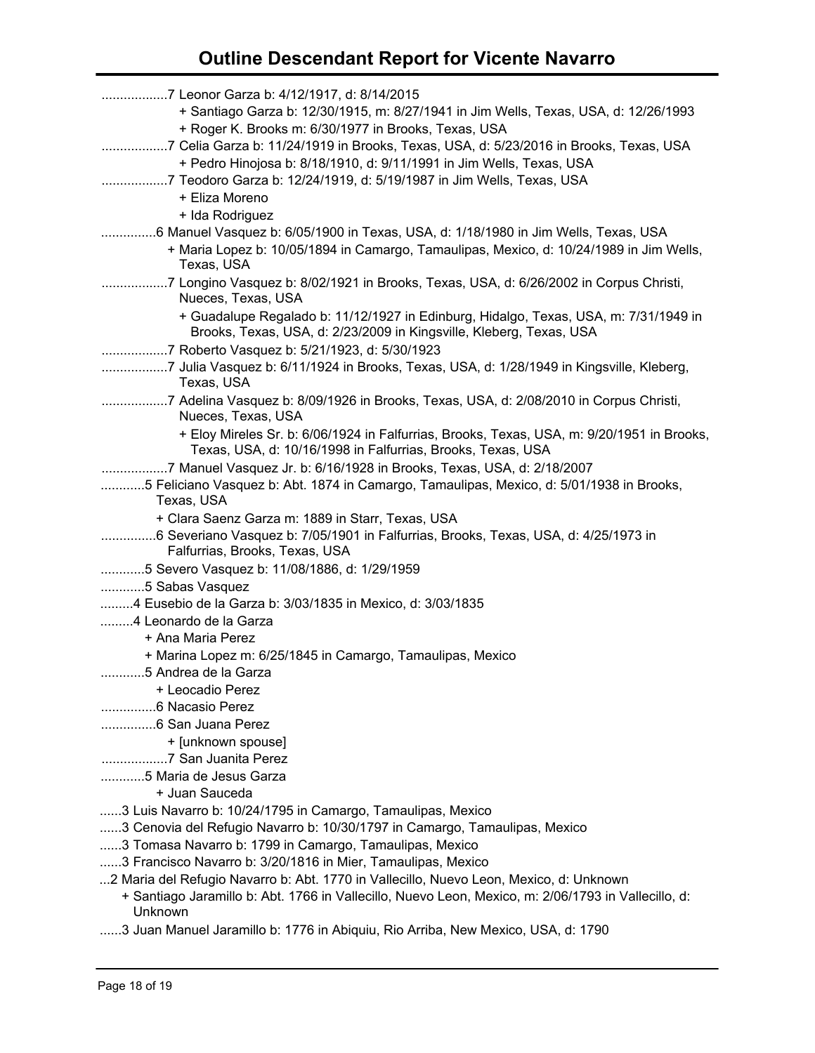| 7 Leonor Garza b: 4/12/1917, d: 8/14/2015                                                                                                                                                                |
|----------------------------------------------------------------------------------------------------------------------------------------------------------------------------------------------------------|
| + Santiago Garza b: 12/30/1915, m: 8/27/1941 in Jim Wells, Texas, USA, d: 12/26/1993<br>+ Roger K. Brooks m: 6/30/1977 in Brooks, Texas, USA                                                             |
| 7 Celia Garza b: 11/24/1919 in Brooks, Texas, USA, d: 5/23/2016 in Brooks, Texas, USA                                                                                                                    |
| + Pedro Hinojosa b: 8/18/1910, d: 9/11/1991 in Jim Wells, Texas, USA                                                                                                                                     |
| 7 Teodoro Garza b: 12/24/1919, d: 5/19/1987 in Jim Wells, Texas, USA                                                                                                                                     |
| + Eliza Moreno                                                                                                                                                                                           |
| + Ida Rodriguez                                                                                                                                                                                          |
| 6 Manuel Vasquez b: 6/05/1900 in Texas, USA, d: 1/18/1980 in Jim Wells, Texas, USA                                                                                                                       |
| + Maria Lopez b: 10/05/1894 in Camargo, Tamaulipas, Mexico, d: 10/24/1989 in Jim Wells,<br>Texas, USA                                                                                                    |
| 7 Longino Vasquez b: 8/02/1921 in Brooks, Texas, USA, d: 6/26/2002 in Corpus Christi,<br>Nueces, Texas, USA                                                                                              |
| + Guadalupe Regalado b: 11/12/1927 in Edinburg, Hidalgo, Texas, USA, m: 7/31/1949 in<br>Brooks, Texas, USA, d: 2/23/2009 in Kingsville, Kleberg, Texas, USA                                              |
| 7 Roberto Vasquez b: 5/21/1923, d: 5/30/1923                                                                                                                                                             |
| 7 Julia Vasquez b: 6/11/1924 in Brooks, Texas, USA, d: 1/28/1949 in Kingsville, Kleberg,<br>Texas, USA                                                                                                   |
| 7 Adelina Vasquez b: 8/09/1926 in Brooks, Texas, USA, d: 2/08/2010 in Corpus Christi,<br>Nueces, Texas, USA                                                                                              |
| + Eloy Mireles Sr. b: 6/06/1924 in Falfurrias, Brooks, Texas, USA, m: 9/20/1951 in Brooks,<br>Texas, USA, d: 10/16/1998 in Falfurrias, Brooks, Texas, USA                                                |
| 7 Manuel Vasquez Jr. b: 6/16/1928 in Brooks, Texas, USA, d: 2/18/2007                                                                                                                                    |
| 5 Feliciano Vasquez b: Abt. 1874 in Camargo, Tamaulipas, Mexico, d: 5/01/1938 in Brooks,                                                                                                                 |
| Texas, USA                                                                                                                                                                                               |
| + Clara Saenz Garza m: 1889 in Starr, Texas, USA                                                                                                                                                         |
| 6 Severiano Vasquez b: 7/05/1901 in Falfurrias, Brooks, Texas, USA, d: 4/25/1973 in<br>Falfurrias, Brooks, Texas, USA                                                                                    |
| 5 Severo Vasquez b: 11/08/1886, d: 1/29/1959                                                                                                                                                             |
| 5 Sabas Vasquez                                                                                                                                                                                          |
| 4 Eusebio de la Garza b: 3/03/1835 in Mexico, d: 3/03/1835                                                                                                                                               |
| 4 Leonardo de la Garza                                                                                                                                                                                   |
| + Ana Maria Perez                                                                                                                                                                                        |
| + Marina Lopez m: 6/25/1845 in Camargo, Tamaulipas, Mexico                                                                                                                                               |
| .5 Andrea de la Garza                                                                                                                                                                                    |
| + Leocadio Perez                                                                                                                                                                                         |
| 6 Nacasio Perez                                                                                                                                                                                          |
|                                                                                                                                                                                                          |
| + [unknown spouse]                                                                                                                                                                                       |
| 7 San Juanita Perez                                                                                                                                                                                      |
| 5 Maria de Jesus Garza                                                                                                                                                                                   |
| + Juan Sauceda                                                                                                                                                                                           |
| 3 Luis Navarro b: 10/24/1795 in Camargo, Tamaulipas, Mexico                                                                                                                                              |
| 3 Cenovia del Refugio Navarro b: 10/30/1797 in Camargo, Tamaulipas, Mexico                                                                                                                               |
| 3 Tomasa Navarro b: 1799 in Camargo, Tamaulipas, Mexico                                                                                                                                                  |
| 3 Francisco Navarro b: 3/20/1816 in Mier, Tamaulipas, Mexico                                                                                                                                             |
| 2 Maria del Refugio Navarro b: Abt. 1770 in Vallecillo, Nuevo Leon, Mexico, d: Unknown<br>+ Santiago Jaramillo b: Abt. 1766 in Vallecillo, Nuevo Leon, Mexico, m: 2/06/1793 in Vallecillo, d:<br>Unknown |
| 2 Juan Manuel Jaromille b: 1776 in Abiguiu, Die Arriba New Mexico JJSA, d: 1700                                                                                                                          |

......3 Juan Manuel Jaramillo b: 1776 in Abiquiu, Rio Arriba, New Mexico, USA, d: 1790